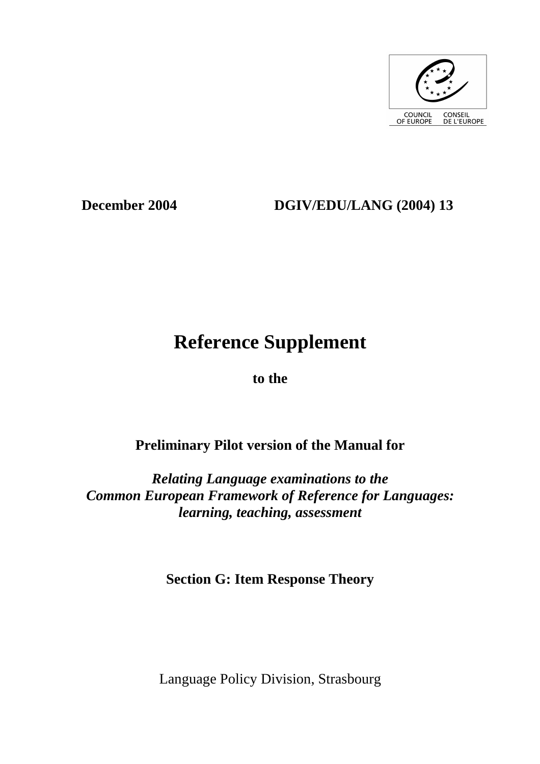

## **December 2004 DGIV/EDU/LANG (2004) 13**

# **Reference Supplement**

**to the** 

## **Preliminary Pilot version of the Manual for**

*Relating Language examinations to the Common European Framework of Reference for Languages: learning, teaching, assessment* 

**Section G: Item Response Theory** 

Language Policy Division, Strasbourg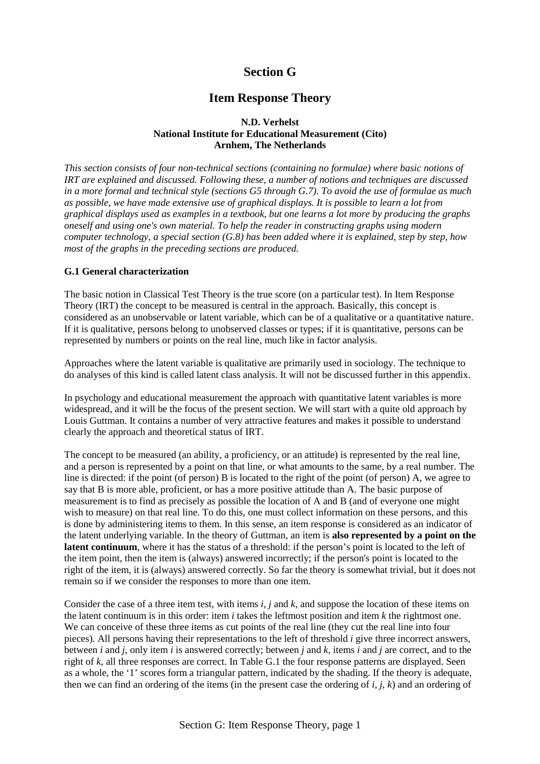## **Section G**

## **Item Response Theory**

## **N.D. Verhelst National Institute for Educational Measurement (Cito) Arnhem, The Netherlands**

*This section consists of four non-technical sections (containing no formulae) where basic notions of IRT are explained and discussed. Following these, a number of notions and techniques are discussed in a more formal and technical style (sections G5 through G.7). To avoid the use of formulae as much as possible, we have made extensive use of graphical displays. It is possible to learn a lot from graphical displays used as examples in a textbook, but one learns a lot more by producing the graphs oneself and using one's own material. To help the reader in constructing graphs using modern computer technology, a special section (G.8) has been added where it is explained, step by step, how most of the graphs in the preceding sections are produced.* 

## **G.1 General characterization**

The basic notion in Classical Test Theory is the true score (on a particular test). In Item Response Theory (IRT) the concept to be measured is central in the approach. Basically, this concept is considered as an unobservable or latent variable, which can be of a qualitative or a quantitative nature. If it is qualitative, persons belong to unobserved classes or types; if it is quantitative, persons can be represented by numbers or points on the real line, much like in factor analysis.

Approaches where the latent variable is qualitative are primarily used in sociology. The technique to do analyses of this kind is called latent class analysis. It will not be discussed further in this appendix.

In psychology and educational measurement the approach with quantitative latent variables is more widespread, and it will be the focus of the present section. We will start with a quite old approach by Louis Guttman. It contains a number of very attractive features and makes it possible to understand clearly the approach and theoretical status of IRT.

The concept to be measured (an ability, a proficiency, or an attitude) is represented by the real line, and a person is represented by a point on that line, or what amounts to the same, by a real number. The line is directed: if the point (of person) B is located to the right of the point (of person) A, we agree to say that B is more able, proficient, or has a more positive attitude than A. The basic purpose of measurement is to find as precisely as possible the location of A and B (and of everyone one might wish to measure) on that real line. To do this, one must collect information on these persons, and this is done by administering items to them. In this sense, an item response is considered as an indicator of the latent underlying variable. In the theory of Guttman, an item is **also represented by a point on the latent continuum**, where it has the status of a threshold: if the person's point is located to the left of the item point, then the item is (always) answered incorrectly; if the person's point is located to the right of the item, it is (always) answered correctly. So far the theory is somewhat trivial, but it does not remain so if we consider the responses to more than one item.

Consider the case of a three item test, with items *i, j* and *k*, and suppose the location of these items on the latent continuum is in this order: item *i* takes the leftmost position and item *k* the rightmost one. We can conceive of these three items as cut points of the real line (they cut the real line into four pieces). All persons having their representations to the left of threshold *i* give three incorrect answers, between *i* and *j*, only item *i* is answered correctly; between *j* and *k*, items *i* and *j* are correct, and to the right of *k*, all three responses are correct. In Table G.1 the four response patterns are displayed. Seen as a whole, the '1' scores form a triangular pattern, indicated by the shading. If the theory is adequate, then we can find an ordering of the items (in the present case the ordering of *i, j, k*) and an ordering of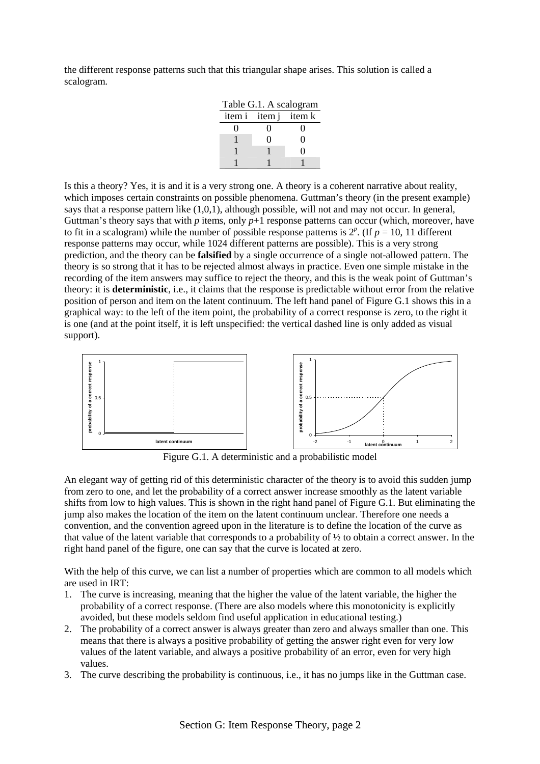the different response patterns such that this triangular shape arises. This solution is called a scalogram.

| Table G.1. A scalogram |            |   |  |  |  |  |  |
|------------------------|------------|---|--|--|--|--|--|
| item i item j item k   |            |   |  |  |  |  |  |
|                        |            | 0 |  |  |  |  |  |
|                        | $^{\circ}$ | 0 |  |  |  |  |  |
|                        |            | 0 |  |  |  |  |  |
|                        |            |   |  |  |  |  |  |

Is this a theory? Yes, it is and it is a very strong one. A theory is a coherent narrative about reality, which imposes certain constraints on possible phenomena. Guttman's theory (in the present example) says that a response pattern like (1,0,1), although possible, will not and may not occur. In general, Guttman's theory says that with  $p$  items, only  $p+1$  response patterns can occur (which, moreover, have to fit in a scalogram) while the number of possible response patterns is  $2^p$ . (If  $p = 10$ , 11 different response patterns may occur, while 1024 different patterns are possible). This is a very strong prediction, and the theory can be **falsified** by a single occurrence of a single not-allowed pattern. The theory is so strong that it has to be rejected almost always in practice. Even one simple mistake in the recording of the item answers may suffice to reject the theory, and this is the weak point of Guttman's theory: it is **deterministic**, i.e., it claims that the response is predictable without error from the relative position of person and item on the latent continuum. The left hand panel of Figure G.1 shows this in a graphical way: to the left of the item point, the probability of a correct response is zero, to the right it is one (and at the point itself, it is left unspecified: the vertical dashed line is only added as visual support).



Figure G.1. A deterministic and a probabilistic model

An elegant way of getting rid of this deterministic character of the theory is to avoid this sudden jump from zero to one, and let the probability of a correct answer increase smoothly as the latent variable shifts from low to high values. This is shown in the right hand panel of Figure G.1. But eliminating the jump also makes the location of the item on the latent continuum unclear. Therefore one needs a convention, and the convention agreed upon in the literature is to define the location of the curve as that value of the latent variable that corresponds to a probability of ½ to obtain a correct answer. In the right hand panel of the figure, one can say that the curve is located at zero.

With the help of this curve, we can list a number of properties which are common to all models which are used in IRT:

- 1. The curve is increasing, meaning that the higher the value of the latent variable, the higher the probability of a correct response. (There are also models where this monotonicity is explicitly avoided, but these models seldom find useful application in educational testing.)
- 2. The probability of a correct answer is always greater than zero and always smaller than one. This means that there is always a positive probability of getting the answer right even for very low values of the latent variable, and always a positive probability of an error, even for very high values.
- 3. The curve describing the probability is continuous, i.e., it has no jumps like in the Guttman case.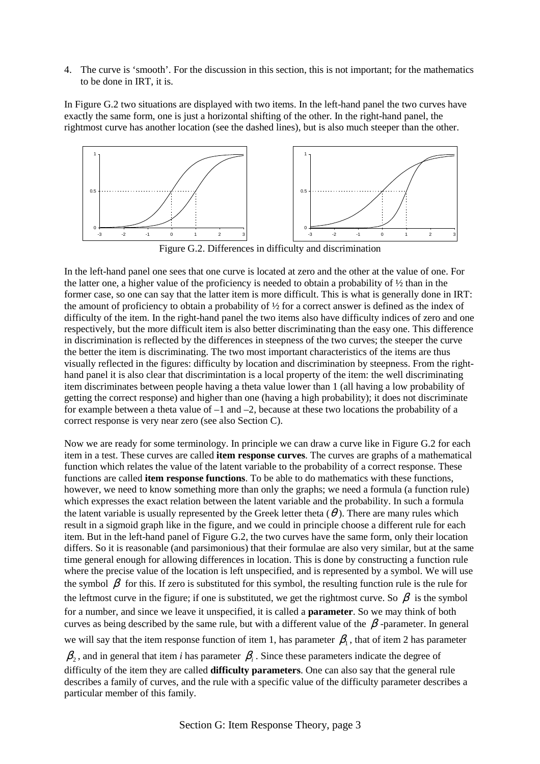4. The curve is 'smooth'. For the discussion in this section, this is not important; for the mathematics to be done in IRT, it is.

In Figure G.2 two situations are displayed with two items. In the left-hand panel the two curves have exactly the same form, one is just a horizontal shifting of the other. In the right-hand panel, the rightmost curve has another location (see the dashed lines), but is also much steeper than the other.



Figure G.2. Differences in difficulty and discrimination

In the left-hand panel one sees that one curve is located at zero and the other at the value of one. For the latter one, a higher value of the proficiency is needed to obtain a probability of ½ than in the former case, so one can say that the latter item is more difficult. This is what is generally done in IRT: the amount of proficiency to obtain a probability of  $\frac{1}{2}$  for a correct answer is defined as the index of difficulty of the item. In the right-hand panel the two items also have difficulty indices of zero and one respectively, but the more difficult item is also better discriminating than the easy one. This difference in discrimination is reflected by the differences in steepness of the two curves; the steeper the curve the better the item is discriminating. The two most important characteristics of the items are thus visually reflected in the figures: difficulty by location and discrimination by steepness. From the righthand panel it is also clear that discrimintation is a local property of the item: the well discriminating item discriminates between people having a theta value lower than 1 (all having a low probability of getting the correct response) and higher than one (having a high probability); it does not discriminate for example between a theta value of  $-1$  and  $-2$ , because at these two locations the probability of a correct response is very near zero (see also Section C).

Now we are ready for some terminology. In principle we can draw a curve like in Figure G.2 for each item in a test. These curves are called **item response curves**. The curves are graphs of a mathematical function which relates the value of the latent variable to the probability of a correct response. These functions are called **item response functions**. To be able to do mathematics with these functions, however, we need to know something more than only the graphs; we need a formula (a function rule) which expresses the exact relation between the latent variable and the probability. In such a formula the latent variable is usually represented by the Greek letter theta  $(\theta)$ . There are many rules which result in a sigmoid graph like in the figure, and we could in principle choose a different rule for each item. But in the left-hand panel of Figure G.2, the two curves have the same form, only their location differs. So it is reasonable (and parsimonious) that their formulae are also very similar, but at the same time general enough for allowing differences in location. This is done by constructing a function rule where the precise value of the location is left unspecified, and is represented by a symbol. We will use the symbol  $\beta$  for this. If zero is substituted for this symbol, the resulting function rule is the rule for the leftmost curve in the figure; if one is substituted, we get the rightmost curve. So  $\beta$  is the symbol for a number, and since we leave it unspecified, it is called a **parameter**. So we may think of both curves as being described by the same rule, but with a different value of the  $\beta$ -parameter. In general we will say that the item response function of item 1, has parameter  $\beta_1$ , that of item 2 has parameter

 $\beta_2$ , and in general that item *i* has parameter  $\beta_i$ . Since these parameters indicate the degree of difficulty of the item they are called **difficulty parameters**. One can also say that the general rule describes a family of curves, and the rule with a specific value of the difficulty parameter describes a particular member of this family.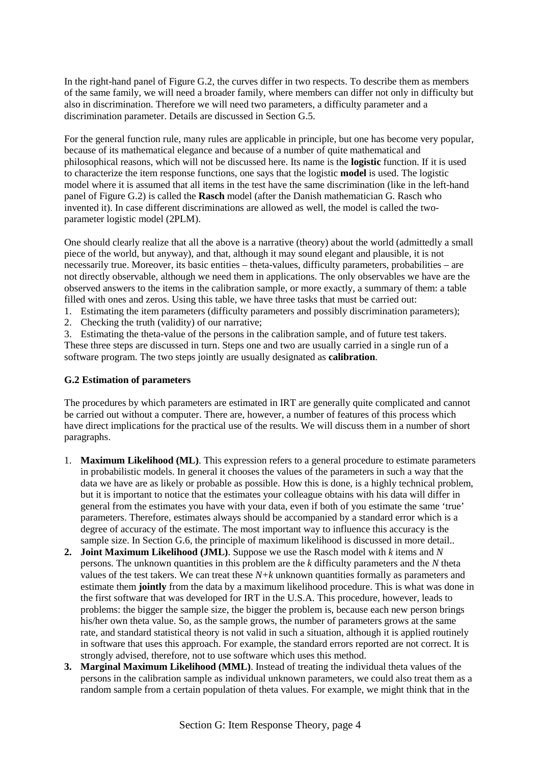In the right-hand panel of Figure G.2, the curves differ in two respects. To describe them as members of the same family, we will need a broader family, where members can differ not only in difficulty but also in discrimination. Therefore we will need two parameters, a difficulty parameter and a discrimination parameter. Details are discussed in Section G.5.

For the general function rule, many rules are applicable in principle, but one has become very popular, because of its mathematical elegance and because of a number of quite mathematical and philosophical reasons, which will not be discussed here. Its name is the **logistic** function. If it is used to characterize the item response functions, one says that the logistic **model** is used. The logistic model where it is assumed that all items in the test have the same discrimination (like in the left-hand panel of Figure G.2) is called the **Rasch** model (after the Danish mathematician G. Rasch who invented it). In case different discriminations are allowed as well, the model is called the twoparameter logistic model (2PLM).

One should clearly realize that all the above is a narrative (theory) about the world (admittedly a small piece of the world, but anyway), and that, although it may sound elegant and plausible, it is not necessarily true. Moreover, its basic entities – theta-values, difficulty parameters, probabilities – are not directly observable, although we need them in applications. The only observables we have are the observed answers to the items in the calibration sample, or more exactly, a summary of them: a table filled with ones and zeros. Using this table, we have three tasks that must be carried out:

1. Estimating the item parameters (difficulty parameters and possibly discrimination parameters);

2. Checking the truth (validity) of our narrative;

3. Estimating the theta-value of the persons in the calibration sample, and of future test takers. These three steps are discussed in turn. Steps one and two are usually carried in a single run of a software program. The two steps jointly are usually designated as **calibration**.

## **G.2 Estimation of parameters**

The procedures by which parameters are estimated in IRT are generally quite complicated and cannot be carried out without a computer. There are, however, a number of features of this process which have direct implications for the practical use of the results. We will discuss them in a number of short paragraphs.

- 1. **Maximum Likelihood (ML)**. This expression refers to a general procedure to estimate parameters in probabilistic models. In general it chooses the values of the parameters in such a way that the data we have are as likely or probable as possible. How this is done, is a highly technical problem, but it is important to notice that the estimates your colleague obtains with his data will differ in general from the estimates you have with your data, even if both of you estimate the same 'true' parameters. Therefore, estimates always should be accompanied by a standard error which is a degree of accuracy of the estimate. The most important way to influence this accuracy is the sample size. In Section G.6, the principle of maximum likelihood is discussed in more detail..
- **2. Joint Maximum Likelihood (JML)**. Suppose we use the Rasch model with *k* items and *N* persons. The unknown quantities in this problem are the *k* difficulty parameters and the *N* theta values of the test takers. We can treat these *N+k* unknown quantities formally as parameters and estimate them **jointly** from the data by a maximum likelihood procedure. This is what was done in the first software that was developed for IRT in the U.S.A. This procedure, however, leads to problems: the bigger the sample size, the bigger the problem is, because each new person brings his/her own theta value. So, as the sample grows, the number of parameters grows at the same rate, and standard statistical theory is not valid in such a situation, although it is applied routinely in software that uses this approach. For example, the standard errors reported are not correct. It is strongly advised, therefore, not to use software which uses this method.
- **3. Marginal Maximum Likelihood (MML)**. Instead of treating the individual theta values of the persons in the calibration sample as individual unknown parameters, we could also treat them as a random sample from a certain population of theta values. For example, we might think that in the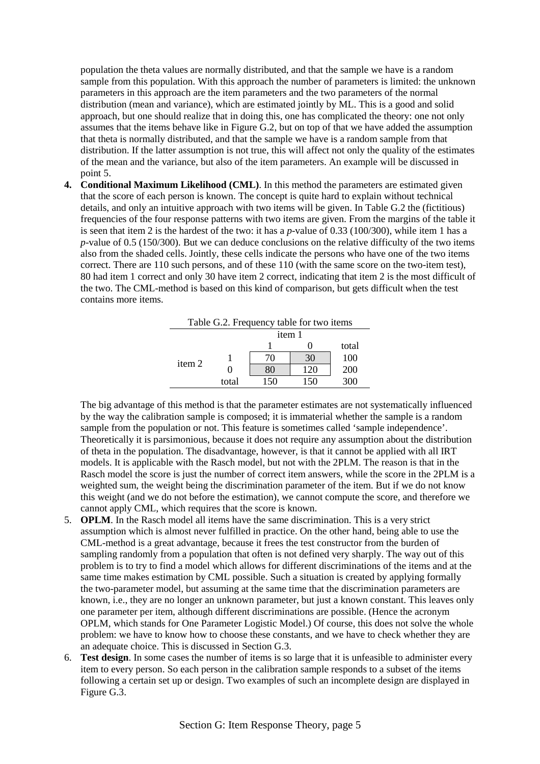population the theta values are normally distributed, and that the sample we have is a random sample from this population. With this approach the number of parameters is limited: the unknown parameters in this approach are the item parameters and the two parameters of the normal distribution (mean and variance), which are estimated jointly by ML. This is a good and solid approach, but one should realize that in doing this, one has complicated the theory: one not only assumes that the items behave like in Figure G.2, but on top of that we have added the assumption that theta is normally distributed, and that the sample we have is a random sample from that distribution. If the latter assumption is not true, this will affect not only the quality of the estimates of the mean and the variance, but also of the item parameters. An example will be discussed in point 5.

**4. Conditional Maximum Likelihood (CML)**. In this method the parameters are estimated given that the score of each person is known. The concept is quite hard to explain without technical details, and only an intuitive approach with two items will be given. In Table G.2 the (fictitious) frequencies of the four response patterns with two items are given. From the margins of the table it is seen that item 2 is the hardest of the two: it has a *p*-value of 0.33 (100/300), while item 1 has a *p*-value of 0.5 (150/300). But we can deduce conclusions on the relative difficulty of the two items also from the shaded cells. Jointly, these cells indicate the persons who have one of the two items correct. There are 110 such persons, and of these 110 (with the same score on the two-item test), 80 had item 1 correct and only 30 have item 2 correct, indicating that item 2 is the most difficult of the two. The CML-method is based on this kind of comparison, but gets difficult when the test contains more items.

| Table G.2. Frequency table for two items |       |     |     |       |  |  |  |
|------------------------------------------|-------|-----|-----|-------|--|--|--|
| item 1                                   |       |     |     |       |  |  |  |
|                                          |       |     |     | total |  |  |  |
| item 2                                   |       | 70  | 30  | 100   |  |  |  |
|                                          |       | XO  | 120 | 200   |  |  |  |
|                                          | total | 150 | 150 | 300   |  |  |  |

The big advantage of this method is that the parameter estimates are not systematically influenced by the way the calibration sample is composed; it is immaterial whether the sample is a random sample from the population or not. This feature is sometimes called 'sample independence'. Theoretically it is parsimonious, because it does not require any assumption about the distribution of theta in the population. The disadvantage, however, is that it cannot be applied with all IRT models. It is applicable with the Rasch model, but not with the 2PLM. The reason is that in the Rasch model the score is just the number of correct item answers, while the score in the 2PLM is a weighted sum, the weight being the discrimination parameter of the item. But if we do not know this weight (and we do not before the estimation), we cannot compute the score, and therefore we cannot apply CML, which requires that the score is known.

- 5. **OPLM**. In the Rasch model all items have the same discrimination. This is a very strict assumption which is almost never fulfilled in practice. On the other hand, being able to use the CML-method is a great advantage, because it frees the test constructor from the burden of sampling randomly from a population that often is not defined very sharply. The way out of this problem is to try to find a model which allows for different discriminations of the items and at the same time makes estimation by CML possible. Such a situation is created by applying formally the two-parameter model, but assuming at the same time that the discrimination parameters are known, i.e., they are no longer an unknown parameter, but just a known constant. This leaves only one parameter per item, although different discriminations are possible. (Hence the acronym OPLM, which stands for One Parameter Logistic Model.) Of course, this does not solve the whole problem: we have to know how to choose these constants, and we have to check whether they are an adequate choice. This is discussed in Section G.3.
- 6. **Test design**. In some cases the number of items is so large that it is unfeasible to administer every item to every person. So each person in the calibration sample responds to a subset of the items following a certain set up or design. Two examples of such an incomplete design are displayed in Figure G.3.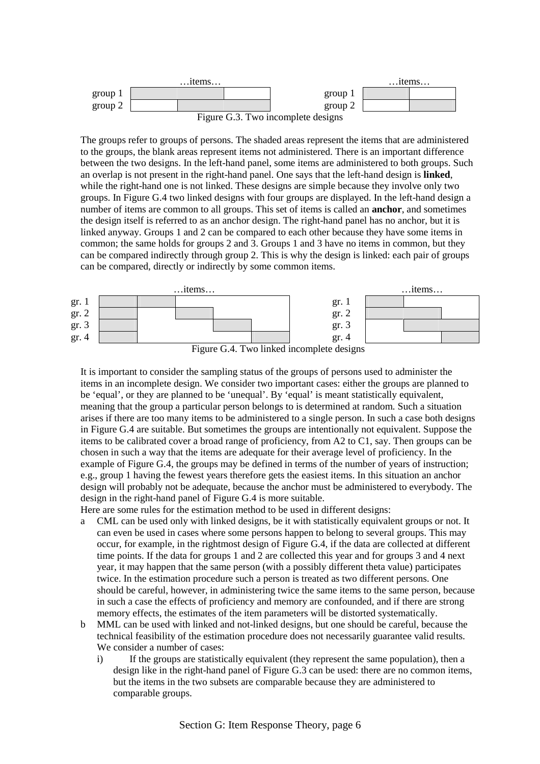

The groups refer to groups of persons. The shaded areas represent the items that are administered to the groups, the blank areas represent items not administered. There is an important difference between the two designs. In the left-hand panel, some items are administered to both groups. Such an overlap is not present in the right-hand panel. One says that the left-hand design is **linked**, while the right-hand one is not linked. These designs are simple because they involve only two groups. In Figure G.4 two linked designs with four groups are displayed. In the left-hand design a number of items are common to all groups. This set of items is called an **anchor**, and sometimes the design itself is referred to as an anchor design. The right-hand panel has no anchor, but it is linked anyway. Groups 1 and 2 can be compared to each other because they have some items in common; the same holds for groups 2 and 3. Groups 1 and 3 have no items in common, but they can be compared indirectly through group 2. This is why the design is linked: each pair of groups can be compared, directly or indirectly by some common items.



Figure G.4. Two linked incomplete designs

It is important to consider the sampling status of the groups of persons used to administer the items in an incomplete design. We consider two important cases: either the groups are planned to be 'equal', or they are planned to be 'unequal'. By 'equal' is meant statistically equivalent, meaning that the group a particular person belongs to is determined at random. Such a situation arises if there are too many items to be administered to a single person. In such a case both designs in Figure G.4 are suitable. But sometimes the groups are intentionally not equivalent. Suppose the items to be calibrated cover a broad range of proficiency, from A2 to C1, say. Then groups can be chosen in such a way that the items are adequate for their average level of proficiency. In the example of Figure G.4, the groups may be defined in terms of the number of years of instruction; e.g., group 1 having the fewest years therefore gets the easiest items. In this situation an anchor design will probably not be adequate, because the anchor must be administered to everybody. The design in the right-hand panel of Figure G.4 is more suitable.

Here are some rules for the estimation method to be used in different designs:

- a CML can be used only with linked designs, be it with statistically equivalent groups or not. It can even be used in cases where some persons happen to belong to several groups. This may occur, for example, in the rightmost design of Figure G.4, if the data are collected at different time points. If the data for groups 1 and 2 are collected this year and for groups 3 and 4 next year, it may happen that the same person (with a possibly different theta value) participates twice. In the estimation procedure such a person is treated as two different persons. One should be careful, however, in administering twice the same items to the same person, because in such a case the effects of proficiency and memory are confounded, and if there are strong memory effects, the estimates of the item parameters will be distorted systematically.
- b MML can be used with linked and not-linked designs, but one should be careful, because the technical feasibility of the estimation procedure does not necessarily guarantee valid results. We consider a number of cases:
	- i) If the groups are statistically equivalent (they represent the same population), then a design like in the right-hand panel of Figure G.3 can be used: there are no common items, but the items in the two subsets are comparable because they are administered to comparable groups.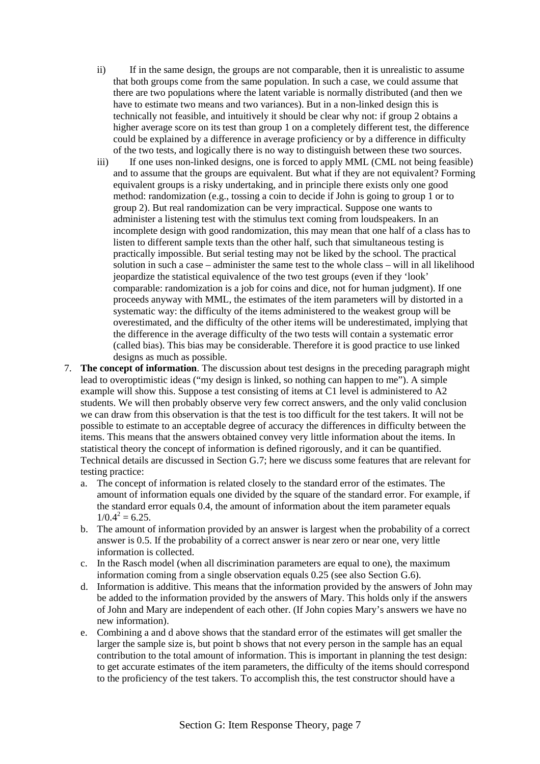- ii) If in the same design, the groups are not comparable, then it is unrealistic to assume that both groups come from the same population. In such a case, we could assume that there are two populations where the latent variable is normally distributed (and then we have to estimate two means and two variances). But in a non-linked design this is technically not feasible, and intuitively it should be clear why not: if group 2 obtains a higher average score on its test than group 1 on a completely different test, the difference could be explained by a difference in average proficiency or by a difference in difficulty of the two tests, and logically there is no way to distinguish between these two sources.
- iii) If one uses non-linked designs, one is forced to apply MML (CML not being feasible) and to assume that the groups are equivalent. But what if they are not equivalent? Forming equivalent groups is a risky undertaking, and in principle there exists only one good method: randomization (e.g., tossing a coin to decide if John is going to group 1 or to group 2). But real randomization can be very impractical. Suppose one wants to administer a listening test with the stimulus text coming from loudspeakers. In an incomplete design with good randomization, this may mean that one half of a class has to listen to different sample texts than the other half, such that simultaneous testing is practically impossible. But serial testing may not be liked by the school. The practical solution in such a case – administer the same test to the whole class – will in all likelihood jeopardize the statistical equivalence of the two test groups (even if they 'look' comparable: randomization is a job for coins and dice, not for human judgment). If one proceeds anyway with MML, the estimates of the item parameters will by distorted in a systematic way: the difficulty of the items administered to the weakest group will be overestimated, and the difficulty of the other items will be underestimated, implying that the difference in the average difficulty of the two tests will contain a systematic error (called bias). This bias may be considerable. Therefore it is good practice to use linked designs as much as possible.
- 7. **The concept of information**. The discussion about test designs in the preceding paragraph might lead to overoptimistic ideas ("my design is linked, so nothing can happen to me"). A simple example will show this. Suppose a test consisting of items at C1 level is administered to A2 students. We will then probably observe very few correct answers, and the only valid conclusion we can draw from this observation is that the test is too difficult for the test takers. It will not be possible to estimate to an acceptable degree of accuracy the differences in difficulty between the items. This means that the answers obtained convey very little information about the items. In statistical theory the concept of information is defined rigorously, and it can be quantified. Technical details are discussed in Section G.7; here we discuss some features that are relevant for testing practice:
	- a. The concept of information is related closely to the standard error of the estimates. The amount of information equals one divided by the square of the standard error. For example, if the standard error equals 0.4, the amount of information about the item parameter equals  $1/0.4^2 = 6.25$ .
	- b. The amount of information provided by an answer is largest when the probability of a correct answer is 0.5. If the probability of a correct answer is near zero or near one, very little information is collected.
	- c. In the Rasch model (when all discrimination parameters are equal to one), the maximum information coming from a single observation equals 0.25 (see also Section G.6).
	- d. Information is additive. This means that the information provided by the answers of John may be added to the information provided by the answers of Mary. This holds only if the answers of John and Mary are independent of each other. (If John copies Mary's answers we have no new information).
	- e. Combining a and d above shows that the standard error of the estimates will get smaller the larger the sample size is, but point b shows that not every person in the sample has an equal contribution to the total amount of information. This is important in planning the test design: to get accurate estimates of the item parameters, the difficulty of the items should correspond to the proficiency of the test takers. To accomplish this, the test constructor should have a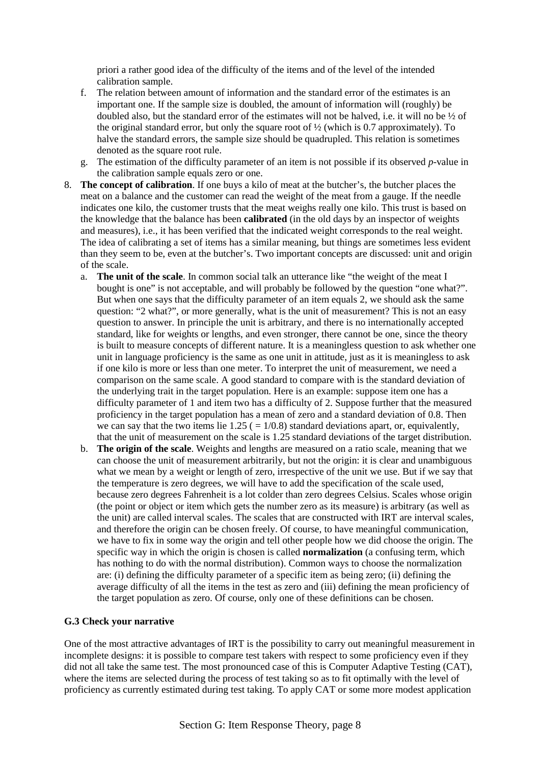priori a rather good idea of the difficulty of the items and of the level of the intended calibration sample.

- f. The relation between amount of information and the standard error of the estimates is an important one. If the sample size is doubled, the amount of information will (roughly) be doubled also, but the standard error of the estimates will not be halved, i.e. it will no be ½ of the original standard error, but only the square root of  $\frac{1}{2}$  (which is 0.7 approximately). To halve the standard errors, the sample size should be quadrupled. This relation is sometimes denoted as the square root rule.
- g. The estimation of the difficulty parameter of an item is not possible if its observed *p*-value in the calibration sample equals zero or one.
- 8. **The concept of calibration**. If one buys a kilo of meat at the butcher's, the butcher places the meat on a balance and the customer can read the weight of the meat from a gauge. If the needle indicates one kilo, the customer trusts that the meat weighs really one kilo. This trust is based on the knowledge that the balance has been **calibrated** (in the old days by an inspector of weights and measures), i.e., it has been verified that the indicated weight corresponds to the real weight. The idea of calibrating a set of items has a similar meaning, but things are sometimes less evident than they seem to be, even at the butcher's. Two important concepts are discussed: unit and origin of the scale.
	- a. **The unit of the scale**. In common social talk an utterance like "the weight of the meat I bought is one" is not acceptable, and will probably be followed by the question "one what?". But when one says that the difficulty parameter of an item equals 2, we should ask the same question: "2 what?", or more generally, what is the unit of measurement? This is not an easy question to answer. In principle the unit is arbitrary, and there is no internationally accepted standard, like for weights or lengths, and even stronger, there cannot be one, since the theory is built to measure concepts of different nature. It is a meaningless question to ask whether one unit in language proficiency is the same as one unit in attitude, just as it is meaningless to ask if one kilo is more or less than one meter. To interpret the unit of measurement, we need a comparison on the same scale. A good standard to compare with is the standard deviation of the underlying trait in the target population. Here is an example: suppose item one has a difficulty parameter of 1 and item two has a difficulty of 2. Suppose further that the measured proficiency in the target population has a mean of zero and a standard deviation of 0.8. Then we can say that the two items lie  $1.25$  ( $= 1/0.8$ ) standard deviations apart, or, equivalently, that the unit of measurement on the scale is 1.25 standard deviations of the target distribution.
	- b. **The origin of the scale**. Weights and lengths are measured on a ratio scale, meaning that we can choose the unit of measurement arbitrarily, but not the origin: it is clear and unambiguous what we mean by a weight or length of zero, irrespective of the unit we use. But if we say that the temperature is zero degrees, we will have to add the specification of the scale used, because zero degrees Fahrenheit is a lot colder than zero degrees Celsius. Scales whose origin (the point or object or item which gets the number zero as its measure) is arbitrary (as well as the unit) are called interval scales. The scales that are constructed with IRT are interval scales, and therefore the origin can be chosen freely. Of course, to have meaningful communication, we have to fix in some way the origin and tell other people how we did choose the origin. The specific way in which the origin is chosen is called **normalization** (a confusing term, which has nothing to do with the normal distribution). Common ways to choose the normalization are: (i) defining the difficulty parameter of a specific item as being zero; (ii) defining the average difficulty of all the items in the test as zero and (iii) defining the mean proficiency of the target population as zero. Of course, only one of these definitions can be chosen.

## **G.3 Check your narrative**

One of the most attractive advantages of IRT is the possibility to carry out meaningful measurement in incomplete designs: it is possible to compare test takers with respect to some proficiency even if they did not all take the same test. The most pronounced case of this is Computer Adaptive Testing (CAT), where the items are selected during the process of test taking so as to fit optimally with the level of proficiency as currently estimated during test taking. To apply CAT or some more modest application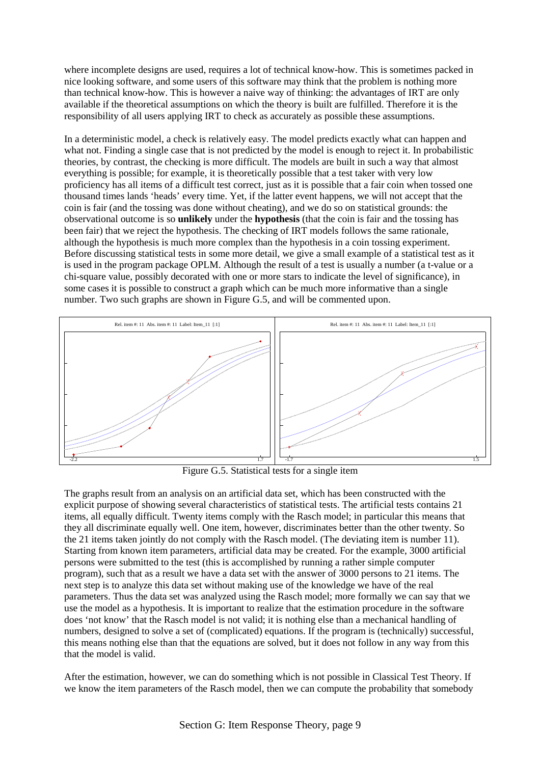where incomplete designs are used, requires a lot of technical know-how. This is sometimes packed in nice looking software, and some users of this software may think that the problem is nothing more than technical know-how. This is however a naive way of thinking: the advantages of IRT are only available if the theoretical assumptions on which the theory is built are fulfilled. Therefore it is the responsibility of all users applying IRT to check as accurately as possible these assumptions.

In a deterministic model, a check is relatively easy. The model predicts exactly what can happen and what not. Finding a single case that is not predicted by the model is enough to reject it. In probabilistic theories, by contrast, the checking is more difficult. The models are built in such a way that almost everything is possible; for example, it is theoretically possible that a test taker with very low proficiency has all items of a difficult test correct, just as it is possible that a fair coin when tossed one thousand times lands 'heads' every time. Yet, if the latter event happens, we will not accept that the coin is fair (and the tossing was done without cheating), and we do so on statistical grounds: the observational outcome is so **unlikely** under the **hypothesis** (that the coin is fair and the tossing has been fair) that we reject the hypothesis. The checking of IRT models follows the same rationale, although the hypothesis is much more complex than the hypothesis in a coin tossing experiment. Before discussing statistical tests in some more detail, we give a small example of a statistical test as it is used in the program package OPLM. Although the result of a test is usually a number (a t-value or a chi-square value, possibly decorated with one or more stars to indicate the level of significance), in some cases it is possible to construct a graph which can be much more informative than a single number. Two such graphs are shown in Figure G.5, and will be commented upon.



Figure G.5. Statistical tests for a single item

The graphs result from an analysis on an artificial data set, which has been constructed with the explicit purpose of showing several characteristics of statistical tests. The artificial tests contains 21 items, all equally difficult. Twenty items comply with the Rasch model; in particular this means that they all discriminate equally well. One item, however, discriminates better than the other twenty. So the 21 items taken jointly do not comply with the Rasch model. (The deviating item is number 11). Starting from known item parameters, artificial data may be created. For the example, 3000 artificial persons were submitted to the test (this is accomplished by running a rather simple computer program), such that as a result we have a data set with the answer of 3000 persons to 21 items. The next step is to analyze this data set without making use of the knowledge we have of the real parameters. Thus the data set was analyzed using the Rasch model; more formally we can say that we use the model as a hypothesis. It is important to realize that the estimation procedure in the software does 'not know' that the Rasch model is not valid; it is nothing else than a mechanical handling of numbers, designed to solve a set of (complicated) equations. If the program is (technically) successful, this means nothing else than that the equations are solved, but it does not follow in any way from this that the model is valid.

After the estimation, however, we can do something which is not possible in Classical Test Theory. If we know the item parameters of the Rasch model, then we can compute the probability that somebody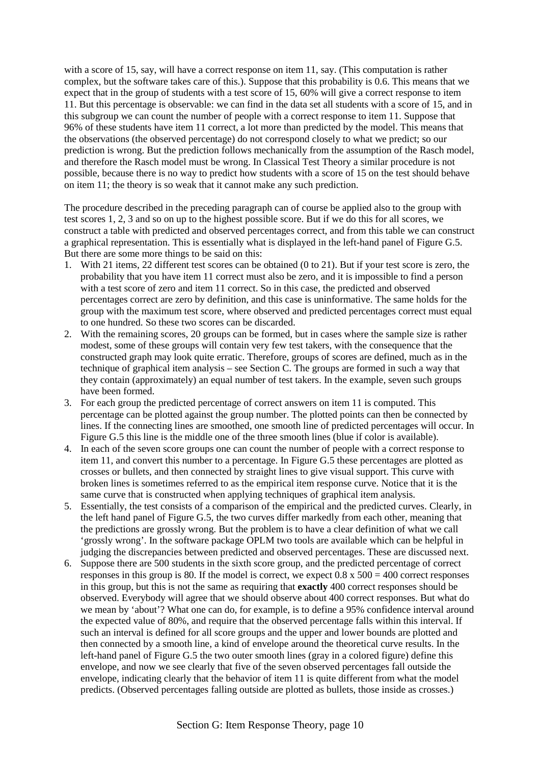with a score of 15, say, will have a correct response on item 11, say. (This computation is rather complex, but the software takes care of this.). Suppose that this probability is 0.6. This means that we expect that in the group of students with a test score of 15, 60% will give a correct response to item 11. But this percentage is observable: we can find in the data set all students with a score of 15, and in this subgroup we can count the number of people with a correct response to item 11. Suppose that 96% of these students have item 11 correct, a lot more than predicted by the model. This means that the observations (the observed percentage) do not correspond closely to what we predict; so our prediction is wrong. But the prediction follows mechanically from the assumption of the Rasch model, and therefore the Rasch model must be wrong. In Classical Test Theory a similar procedure is not possible, because there is no way to predict how students with a score of 15 on the test should behave on item 11; the theory is so weak that it cannot make any such prediction.

The procedure described in the preceding paragraph can of course be applied also to the group with test scores 1, 2, 3 and so on up to the highest possible score. But if we do this for all scores, we construct a table with predicted and observed percentages correct, and from this table we can construct a graphical representation. This is essentially what is displayed in the left-hand panel of Figure G.5. But there are some more things to be said on this:

- 1. With 21 items, 22 different test scores can be obtained (0 to 21). But if your test score is zero, the probability that you have item 11 correct must also be zero, and it is impossible to find a person with a test score of zero and item 11 correct. So in this case, the predicted and observed percentages correct are zero by definition, and this case is uninformative. The same holds for the group with the maximum test score, where observed and predicted percentages correct must equal to one hundred. So these two scores can be discarded.
- 2. With the remaining scores, 20 groups can be formed, but in cases where the sample size is rather modest, some of these groups will contain very few test takers, with the consequence that the constructed graph may look quite erratic. Therefore, groups of scores are defined, much as in the technique of graphical item analysis – see Section C. The groups are formed in such a way that they contain (approximately) an equal number of test takers. In the example, seven such groups have been formed.
- 3. For each group the predicted percentage of correct answers on item 11 is computed. This percentage can be plotted against the group number. The plotted points can then be connected by lines. If the connecting lines are smoothed, one smooth line of predicted percentages will occur. In Figure G.5 this line is the middle one of the three smooth lines (blue if color is available).
- 4. In each of the seven score groups one can count the number of people with a correct response to item 11, and convert this number to a percentage. In Figure G.5 these percentages are plotted as crosses or bullets, and then connected by straight lines to give visual support. This curve with broken lines is sometimes referred to as the empirical item response curve. Notice that it is the same curve that is constructed when applying techniques of graphical item analysis.
- 5. Essentially, the test consists of a comparison of the empirical and the predicted curves. Clearly, in the left hand panel of Figure G.5, the two curves differ markedly from each other, meaning that the predictions are grossly wrong. But the problem is to have a clear definition of what we call 'grossly wrong'. In the software package OPLM two tools are available which can be helpful in judging the discrepancies between predicted and observed percentages. These are discussed next.
- 6. Suppose there are 500 students in the sixth score group, and the predicted percentage of correct responses in this group is 80. If the model is correct, we expect  $0.8 \times 500 = 400$  correct responses in this group, but this is not the same as requiring that **exactly** 400 correct responses should be observed. Everybody will agree that we should observe about 400 correct responses. But what do we mean by 'about'? What one can do, for example, is to define a 95% confidence interval around the expected value of 80%, and require that the observed percentage falls within this interval. If such an interval is defined for all score groups and the upper and lower bounds are plotted and then connected by a smooth line, a kind of envelope around the theoretical curve results. In the left-hand panel of Figure G.5 the two outer smooth lines (gray in a colored figure) define this envelope, and now we see clearly that five of the seven observed percentages fall outside the envelope, indicating clearly that the behavior of item 11 is quite different from what the model predicts. (Observed percentages falling outside are plotted as bullets, those inside as crosses.)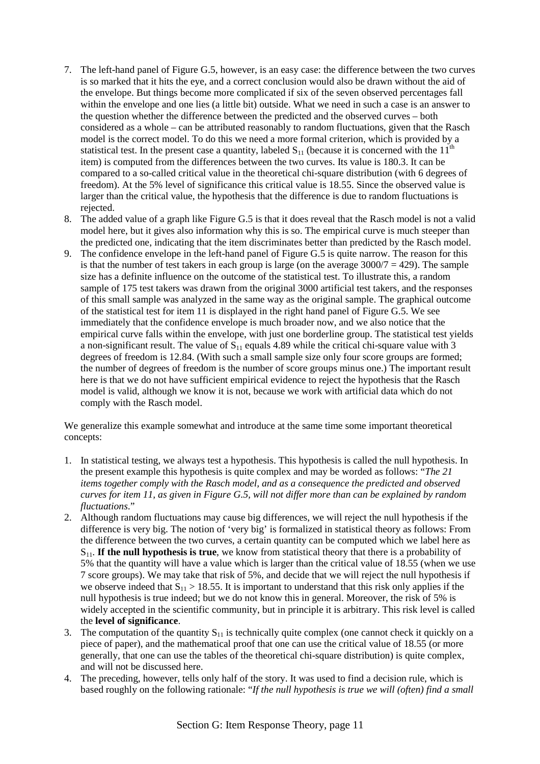- 7. The left-hand panel of Figure G.5, however, is an easy case: the difference between the two curves is so marked that it hits the eye, and a correct conclusion would also be drawn without the aid of the envelope. But things become more complicated if six of the seven observed percentages fall within the envelope and one lies (a little bit) outside. What we need in such a case is an answer to the question whether the difference between the predicted and the observed curves – both considered as a whole – can be attributed reasonably to random fluctuations, given that the Rasch model is the correct model. To do this we need a more formal criterion, which is provided by a statistical test. In the present case a quantity, labeled  $S_{11}$  (because it is concerned with the  $11<sup>th</sup>$ item) is computed from the differences between the two curves. Its value is 180.3. It can be compared to a so-called critical value in the theoretical chi-square distribution (with 6 degrees of freedom). At the 5% level of significance this critical value is 18.55. Since the observed value is larger than the critical value, the hypothesis that the difference is due to random fluctuations is rejected.
- 8. The added value of a graph like Figure G.5 is that it does reveal that the Rasch model is not a valid model here, but it gives also information why this is so. The empirical curve is much steeper than the predicted one, indicating that the item discriminates better than predicted by the Rasch model.
- 9. The confidence envelope in the left-hand panel of Figure G.5 is quite narrow. The reason for this is that the number of test takers in each group is large (on the average  $3000/7 = 429$ ). The sample size has a definite influence on the outcome of the statistical test. To illustrate this, a random sample of 175 test takers was drawn from the original 3000 artificial test takers, and the responses of this small sample was analyzed in the same way as the original sample. The graphical outcome of the statistical test for item 11 is displayed in the right hand panel of Figure G.5. We see immediately that the confidence envelope is much broader now, and we also notice that the empirical curve falls within the envelope, with just one borderline group. The statistical test yields a non-significant result. The value of  $S<sub>11</sub>$  equals 4.89 while the critical chi-square value with 3 degrees of freedom is 12.84. (With such a small sample size only four score groups are formed; the number of degrees of freedom is the number of score groups minus one.) The important result here is that we do not have sufficient empirical evidence to reject the hypothesis that the Rasch model is valid, although we know it is not, because we work with artificial data which do not comply with the Rasch model.

We generalize this example somewhat and introduce at the same time some important theoretical concepts:

- 1. In statistical testing, we always test a hypothesis. This hypothesis is called the null hypothesis. In the present example this hypothesis is quite complex and may be worded as follows: "*The 21 items together comply with the Rasch model, and as a consequence the predicted and observed curves for item 11, as given in Figure G.5, will not differ more than can be explained by random fluctuations*."
- 2. Although random fluctuations may cause big differences, we will reject the null hypothesis if the difference is very big. The notion of 'very big' is formalized in statistical theory as follows: From the difference between the two curves, a certain quantity can be computed which we label here as S11. **If the null hypothesis is true**, we know from statistical theory that there is a probability of 5% that the quantity will have a value which is larger than the critical value of 18.55 (when we use 7 score groups). We may take that risk of 5%, and decide that we will reject the null hypothesis if we observe indeed that  $S_{11} > 18.55$ . It is important to understand that this risk only applies if the null hypothesis is true indeed; but we do not know this in general. Moreover, the risk of 5% is widely accepted in the scientific community, but in principle it is arbitrary. This risk level is called the **level of significance**.
- 3. The computation of the quantity  $S_{11}$  is technically quite complex (one cannot check it quickly on a piece of paper), and the mathematical proof that one can use the critical value of 18.55 (or more generally, that one can use the tables of the theoretical chi-square distribution) is quite complex, and will not be discussed here.
- 4. The preceding, however, tells only half of the story. It was used to find a decision rule, which is based roughly on the following rationale: "*If the null hypothesis is true we will (often) find a small*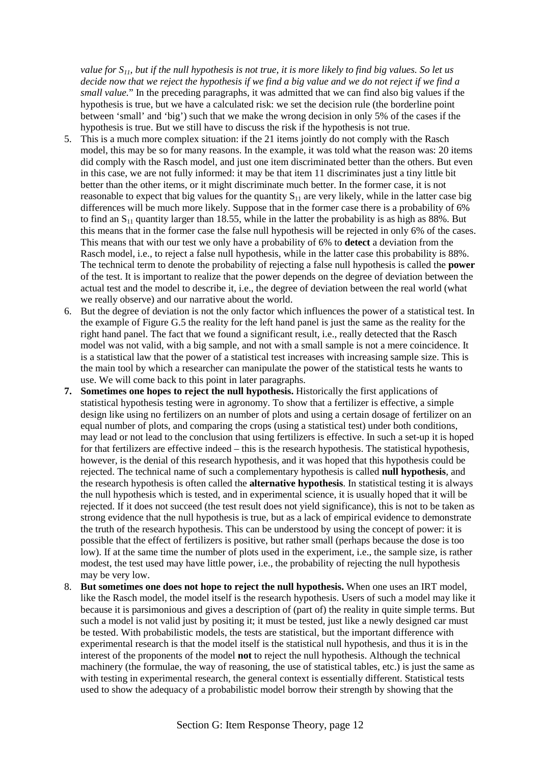*value for S11, but if the null hypothesis is not true, it is more likely to find big values. So let us decide now that we reject the hypothesis if we find a big value and we do not reject if we find a small value.*" In the preceding paragraphs, it was admitted that we can find also big values if the hypothesis is true, but we have a calculated risk: we set the decision rule (the borderline point between 'small' and 'big') such that we make the wrong decision in only 5% of the cases if the hypothesis is true. But we still have to discuss the risk if the hypothesis is not true.

- 5. This is a much more complex situation: if the 21 items jointly do not comply with the Rasch model, this may be so for many reasons. In the example, it was told what the reason was: 20 items did comply with the Rasch model, and just one item discriminated better than the others. But even in this case, we are not fully informed: it may be that item 11 discriminates just a tiny little bit better than the other items, or it might discriminate much better. In the former case, it is not reasonable to expect that big values for the quantity  $S_{11}$  are very likely, while in the latter case big differences will be much more likely. Suppose that in the former case there is a probability of 6% to find an  $S_{11}$  quantity larger than 18.55, while in the latter the probability is as high as 88%. But this means that in the former case the false null hypothesis will be rejected in only 6% of the cases. This means that with our test we only have a probability of 6% to **detect** a deviation from the Rasch model, i.e., to reject a false null hypothesis, while in the latter case this probability is 88%. The technical term to denote the probability of rejecting a false null hypothesis is called the **power** of the test. It is important to realize that the power depends on the degree of deviation between the actual test and the model to describe it, i.e., the degree of deviation between the real world (what we really observe) and our narrative about the world.
- 6. But the degree of deviation is not the only factor which influences the power of a statistical test. In the example of Figure G.5 the reality for the left hand panel is just the same as the reality for the right hand panel. The fact that we found a significant result, i.e., really detected that the Rasch model was not valid, with a big sample, and not with a small sample is not a mere coincidence. It is a statistical law that the power of a statistical test increases with increasing sample size. This is the main tool by which a researcher can manipulate the power of the statistical tests he wants to use. We will come back to this point in later paragraphs.
- **7.** Sometimes one hopes to reject the null hypothesis. Historically the first applications of statistical hypothesis testing were in agronomy. To show that a fertilizer is effective, a simple design like using no fertilizers on an number of plots and using a certain dosage of fertilizer on an equal number of plots, and comparing the crops (using a statistical test) under both conditions, may lead or not lead to the conclusion that using fertilizers is effective. In such a set-up it is hoped for that fertilizers are effective indeed – this is the research hypothesis. The statistical hypothesis, however, is the denial of this research hypothesis, and it was hoped that this hypothesis could be rejected. The technical name of such a complementary hypothesis is called **null hypothesis**, and the research hypothesis is often called the **alternative hypothesis**. In statistical testing it is always the null hypothesis which is tested, and in experimental science, it is usually hoped that it will be rejected. If it does not succeed (the test result does not yield significance), this is not to be taken as strong evidence that the null hypothesis is true, but as a lack of empirical evidence to demonstrate the truth of the research hypothesis. This can be understood by using the concept of power: it is possible that the effect of fertilizers is positive, but rather small (perhaps because the dose is too low). If at the same time the number of plots used in the experiment, i.e., the sample size, is rather modest, the test used may have little power, i.e., the probability of rejecting the null hypothesis may be very low.
- 8. **But sometimes one does not hope to reject the null hypothesis.** When one uses an IRT model, like the Rasch model, the model itself is the research hypothesis. Users of such a model may like it because it is parsimonious and gives a description of (part of) the reality in quite simple terms. But such a model is not valid just by positing it; it must be tested, just like a newly designed car must be tested. With probabilistic models, the tests are statistical, but the important difference with experimental research is that the model itself is the statistical null hypothesis, and thus it is in the interest of the proponents of the model **not** to reject the null hypothesis. Although the technical machinery (the formulae, the way of reasoning, the use of statistical tables, etc.) is just the same as with testing in experimental research, the general context is essentially different. Statistical tests used to show the adequacy of a probabilistic model borrow their strength by showing that the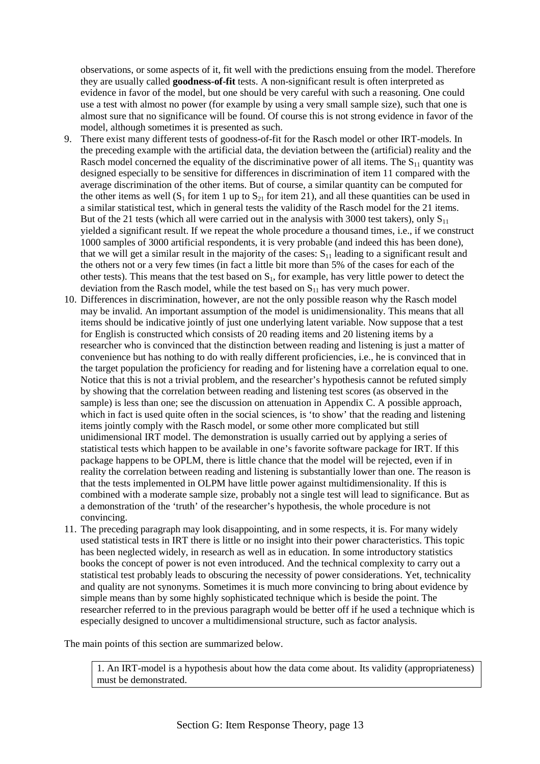observations, or some aspects of it, fit well with the predictions ensuing from the model. Therefore they are usually called **goodness-of-fit** tests. A non-significant result is often interpreted as evidence in favor of the model, but one should be very careful with such a reasoning. One could use a test with almost no power (for example by using a very small sample size), such that one is almost sure that no significance will be found. Of course this is not strong evidence in favor of the model, although sometimes it is presented as such.

- 9. There exist many different tests of goodness-of-fit for the Rasch model or other IRT-models. In the preceding example with the artificial data, the deviation between the (artificial) reality and the Rasch model concerned the equality of the discriminative power of all items. The  $S_{11}$  quantity was designed especially to be sensitive for differences in discrimination of item 11 compared with the average discrimination of the other items. But of course, a similar quantity can be computed for the other items as well  $(S_1$  for item 1 up to  $S_2$  for item 21), and all these quantities can be used in a similar statistical test, which in general tests the validity of the Rasch model for the 21 items. But of the 21 tests (which all were carried out in the analysis with 3000 test takers), only  $S_{11}$ yielded a significant result. If we repeat the whole procedure a thousand times, i.e., if we construct 1000 samples of 3000 artificial respondents, it is very probable (and indeed this has been done), that we will get a similar result in the majority of the cases:  $S_{11}$  leading to a significant result and the others not or a very few times (in fact a little bit more than 5% of the cases for each of the other tests). This means that the test based on  $S<sub>1</sub>$ , for example, has very little power to detect the deviation from the Rasch model, while the test based on  $S_{11}$  has very much power.
- 10. Differences in discrimination, however, are not the only possible reason why the Rasch model may be invalid. An important assumption of the model is unidimensionality. This means that all items should be indicative jointly of just one underlying latent variable. Now suppose that a test for English is constructed which consists of 20 reading items and 20 listening items by a researcher who is convinced that the distinction between reading and listening is just a matter of convenience but has nothing to do with really different proficiencies, i.e., he is convinced that in the target population the proficiency for reading and for listening have a correlation equal to one. Notice that this is not a trivial problem, and the researcher's hypothesis cannot be refuted simply by showing that the correlation between reading and listening test scores (as observed in the sample) is less than one; see the discussion on attenuation in Appendix C. A possible approach, which in fact is used quite often in the social sciences, is 'to show' that the reading and listening items jointly comply with the Rasch model, or some other more complicated but still unidimensional IRT model. The demonstration is usually carried out by applying a series of statistical tests which happen to be available in one's favorite software package for IRT. If this package happens to be OPLM, there is little chance that the model will be rejected, even if in reality the correlation between reading and listening is substantially lower than one. The reason is that the tests implemented in OLPM have little power against multidimensionality. If this is combined with a moderate sample size, probably not a single test will lead to significance. But as a demonstration of the 'truth' of the researcher's hypothesis, the whole procedure is not convincing.
- 11. The preceding paragraph may look disappointing, and in some respects, it is. For many widely used statistical tests in IRT there is little or no insight into their power characteristics. This topic has been neglected widely, in research as well as in education. In some introductory statistics books the concept of power is not even introduced. And the technical complexity to carry out a statistical test probably leads to obscuring the necessity of power considerations. Yet, technicality and quality are not synonyms. Sometimes it is much more convincing to bring about evidence by simple means than by some highly sophisticated technique which is beside the point. The researcher referred to in the previous paragraph would be better off if he used a technique which is especially designed to uncover a multidimensional structure, such as factor analysis.

The main points of this section are summarized below.

1. An IRT-model is a hypothesis about how the data come about. Its validity (appropriateness) must be demonstrated.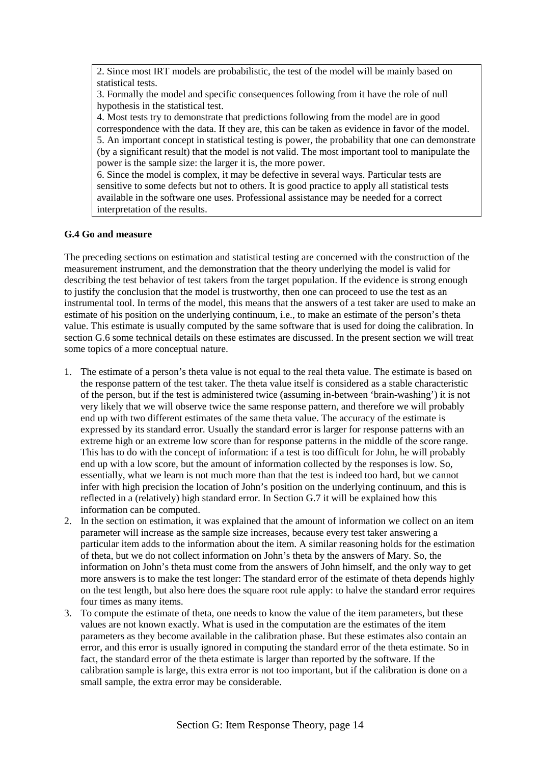2. Since most IRT models are probabilistic, the test of the model will be mainly based on statistical tests.

3. Formally the model and specific consequences following from it have the role of null hypothesis in the statistical test.

4. Most tests try to demonstrate that predictions following from the model are in good correspondence with the data. If they are, this can be taken as evidence in favor of the model. 5. An important concept in statistical testing is power, the probability that one can demonstrate (by a significant result) that the model is not valid. The most important tool to manipulate the power is the sample size: the larger it is, the more power.

6. Since the model is complex, it may be defective in several ways. Particular tests are sensitive to some defects but not to others. It is good practice to apply all statistical tests available in the software one uses. Professional assistance may be needed for a correct interpretation of the results.

## **G.4 Go and measure**

The preceding sections on estimation and statistical testing are concerned with the construction of the measurement instrument, and the demonstration that the theory underlying the model is valid for describing the test behavior of test takers from the target population. If the evidence is strong enough to justify the conclusion that the model is trustworthy, then one can proceed to use the test as an instrumental tool. In terms of the model, this means that the answers of a test taker are used to make an estimate of his position on the underlying continuum, i.e., to make an estimate of the person's theta value. This estimate is usually computed by the same software that is used for doing the calibration. In section G.6 some technical details on these estimates are discussed. In the present section we will treat some topics of a more conceptual nature.

- 1. The estimate of a person's theta value is not equal to the real theta value. The estimate is based on the response pattern of the test taker. The theta value itself is considered as a stable characteristic of the person, but if the test is administered twice (assuming in-between 'brain-washing') it is not very likely that we will observe twice the same response pattern, and therefore we will probably end up with two different estimates of the same theta value. The accuracy of the estimate is expressed by its standard error. Usually the standard error is larger for response patterns with an extreme high or an extreme low score than for response patterns in the middle of the score range. This has to do with the concept of information: if a test is too difficult for John, he will probably end up with a low score, but the amount of information collected by the responses is low. So, essentially, what we learn is not much more than that the test is indeed too hard, but we cannot infer with high precision the location of John's position on the underlying continuum, and this is reflected in a (relatively) high standard error. In Section G.7 it will be explained how this information can be computed.
- 2. In the section on estimation, it was explained that the amount of information we collect on an item parameter will increase as the sample size increases, because every test taker answering a particular item adds to the information about the item. A similar reasoning holds for the estimation of theta, but we do not collect information on John's theta by the answers of Mary. So, the information on John's theta must come from the answers of John himself, and the only way to get more answers is to make the test longer: The standard error of the estimate of theta depends highly on the test length, but also here does the square root rule apply: to halve the standard error requires four times as many items.
- 3. To compute the estimate of theta, one needs to know the value of the item parameters, but these values are not known exactly. What is used in the computation are the estimates of the item parameters as they become available in the calibration phase. But these estimates also contain an error, and this error is usually ignored in computing the standard error of the theta estimate. So in fact, the standard error of the theta estimate is larger than reported by the software. If the calibration sample is large, this extra error is not too important, but if the calibration is done on a small sample, the extra error may be considerable.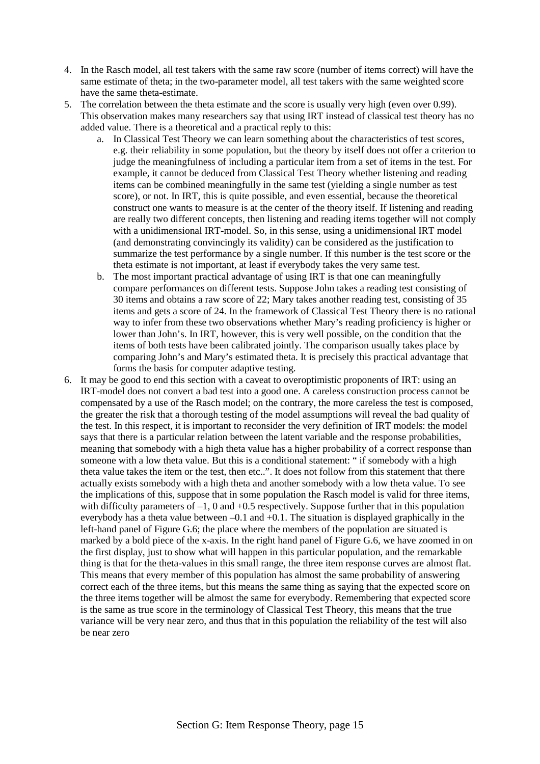- 4. In the Rasch model, all test takers with the same raw score (number of items correct) will have the same estimate of theta; in the two-parameter model, all test takers with the same weighted score have the same theta-estimate.
- 5. The correlation between the theta estimate and the score is usually very high (even over 0.99). This observation makes many researchers say that using IRT instead of classical test theory has no added value. There is a theoretical and a practical reply to this:
	- a. In Classical Test Theory we can learn something about the characteristics of test scores, e.g. their reliability in some population, but the theory by itself does not offer a criterion to judge the meaningfulness of including a particular item from a set of items in the test. For example, it cannot be deduced from Classical Test Theory whether listening and reading items can be combined meaningfully in the same test (yielding a single number as test score), or not. In IRT, this is quite possible, and even essential, because the theoretical construct one wants to measure is at the center of the theory itself. If listening and reading are really two different concepts, then listening and reading items together will not comply with a unidimensional IRT-model. So, in this sense, using a unidimensional IRT model (and demonstrating convincingly its validity) can be considered as the justification to summarize the test performance by a single number. If this number is the test score or the theta estimate is not important, at least if everybody takes the very same test.
	- b. The most important practical advantage of using IRT is that one can meaningfully compare performances on different tests. Suppose John takes a reading test consisting of 30 items and obtains a raw score of 22; Mary takes another reading test, consisting of 35 items and gets a score of 24. In the framework of Classical Test Theory there is no rational way to infer from these two observations whether Mary's reading proficiency is higher or lower than John's. In IRT, however, this is very well possible, on the condition that the items of both tests have been calibrated jointly. The comparison usually takes place by comparing John's and Mary's estimated theta. It is precisely this practical advantage that forms the basis for computer adaptive testing.
- 6. It may be good to end this section with a caveat to overoptimistic proponents of IRT: using an IRT-model does not convert a bad test into a good one. A careless construction process cannot be compensated by a use of the Rasch model; on the contrary, the more careless the test is composed, the greater the risk that a thorough testing of the model assumptions will reveal the bad quality of the test. In this respect, it is important to reconsider the very definition of IRT models: the model says that there is a particular relation between the latent variable and the response probabilities, meaning that somebody with a high theta value has a higher probability of a correct response than someone with a low theta value. But this is a conditional statement: " if somebody with a high theta value takes the item or the test, then etc..". It does not follow from this statement that there actually exists somebody with a high theta and another somebody with a low theta value. To see the implications of this, suppose that in some population the Rasch model is valid for three items, with difficulty parameters of  $-1$ , 0 and  $+0.5$  respectively. Suppose further that in this population everybody has a theta value between –0.1 and +0.1. The situation is displayed graphically in the left-hand panel of Figure G.6; the place where the members of the population are situated is marked by a bold piece of the x-axis. In the right hand panel of Figure G.6, we have zoomed in on the first display, just to show what will happen in this particular population, and the remarkable thing is that for the theta-values in this small range, the three item response curves are almost flat. This means that every member of this population has almost the same probability of answering correct each of the three items, but this means the same thing as saying that the expected score on the three items together will be almost the same for everybody. Remembering that expected score is the same as true score in the terminology of Classical Test Theory, this means that the true variance will be very near zero, and thus that in this population the reliability of the test will also be near zero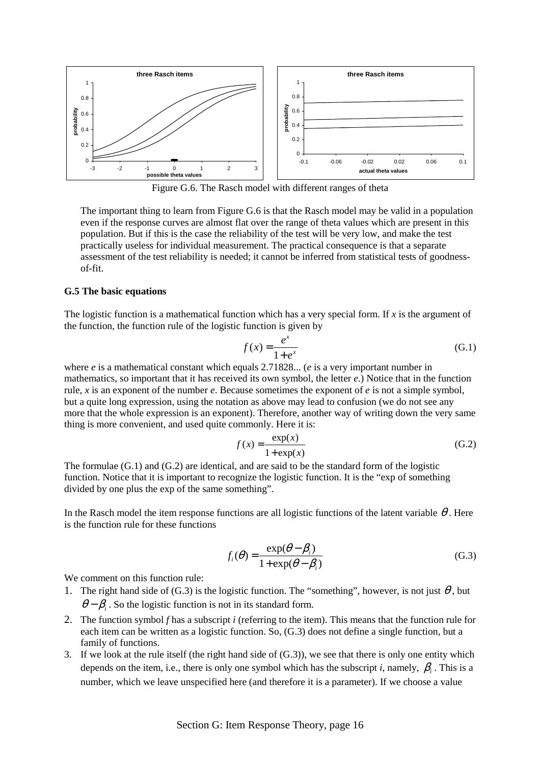

Figure G.6. The Rasch model with different ranges of theta

The important thing to learn from Figure G.6 is that the Rasch model may be valid in a population even if the response curves are almost flat over the range of theta values which are present in this population. But if this is the case the reliability of the test will be very low, and make the test practically useless for individual measurement. The practical consequence is that a separate assessment of the test reliability is needed; it cannot be inferred from statistical tests of goodnessof-fit.

#### **G.5 The basic equations**

The logistic function is a mathematical function which has a very special form. If *x* is the argument of the function, the function rule of the logistic function is given by

$$
f(x) = \frac{e^x}{1 + e^x} \tag{G.1}
$$

where *e* is a mathematical constant which equals 2.71828... (*e* is a very important number in mathematics, so important that it has received its own symbol, the letter *e*.) Notice that in the function rule, *x* is an exponent of the number *e*. Because sometimes the exponent of *e* is not a simple symbol, but a quite long expression, using the notation as above may lead to confusion (we do not see any more that the whole expression is an exponent). Therefore, another way of writing down the very same thing is more convenient, and used quite commonly. Here it is:

$$
f(x) = \frac{\exp(x)}{1 + \exp(x)}
$$
(G.2)

The formulae  $(G.1)$  and  $(G.2)$  are identical, and are said to be the standard form of the logistic function. Notice that it is important to recognize the logistic function. It is the "exp of something divided by one plus the exp of the same something".

In the Rasch model the item response functions are all logistic functions of the latent variable  $\theta$ . Here is the function rule for these functions

$$
f_i(\theta) = \frac{\exp(\theta - \beta_i)}{1 + \exp(\theta - \beta_i)}
$$
(G.3)

We comment on this function rule:

- 1. The right hand side of (G.3) is the logistic function. The "something", however, is not just  $\theta$ , but  $\theta - \beta$ . So the logistic function is not in its standard form.
- 2. The function symbol *f* has a subscript *i* (referring to the item). This means that the function rule for each item can be written as a logistic function. So, (G.3) does not define a single function, but a family of functions.
- 3. If we look at the rule itself (the right hand side of (G.3)), we see that there is only one entity which depends on the item, i.e., there is only one symbol which has the subscript *i*, namely, β*<sup>i</sup>* . This is a number, which we leave unspecified here (and therefore it is a parameter). If we choose a value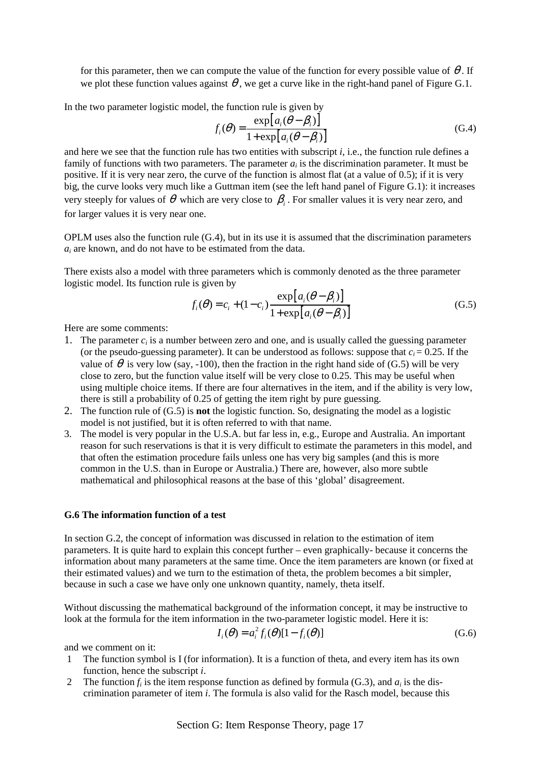for this parameter, then we can compute the value of the function for every possible value of  $\theta$ . If we plot these function values against  $\theta$ , we get a curve like in the right-hand panel of Figure G.1.

In the two parameter logistic model, the function rule is given by

$$
f_i(\theta) = \frac{\exp[a_i(\theta - \beta_i)]}{1 + \exp[a_i(\theta - \beta_i)]}
$$
 (G.4)

and here we see that the function rule has two entities with subscript *i*, i.e., the function rule defines a family of functions with two parameters. The parameter  $a_i$  is the discrimination parameter. It must be positive. If it is very near zero, the curve of the function is almost flat (at a value of 0.5); if it is very big, the curve looks very much like a Guttman item (see the left hand panel of Figure G.1): it increases very steeply for values of  $\theta$  which are very close to  $\beta$ . For smaller values it is very near zero, and for larger values it is very near one.

OPLM uses also the function rule (G.4), but in its use it is assumed that the discrimination parameters *ai* are known, and do not have to be estimated from the data.

There exists also a model with three parameters which is commonly denoted as the three parameter logistic model. Its function rule is given by

$$
f_i(\theta) = c_i + (1 - c_i) \frac{\exp\left[a_i(\theta - \beta_i)\right]}{1 + \exp\left[a_i(\theta - \beta_i)\right]}
$$
(G.5)

Here are some comments:

- 1. The parameter  $c_i$  is a number between zero and one, and is usually called the guessing parameter (or the pseudo-guessing parameter). It can be understood as follows: suppose that  $c_i = 0.25$ . If the value of  $\theta$  is very low (say, -100), then the fraction in the right hand side of (G.5) will be very close to zero, but the function value itself will be very close to 0.25. This may be useful when using multiple choice items. If there are four alternatives in the item, and if the ability is very low, there is still a probability of 0.25 of getting the item right by pure guessing.
- 2. The function rule of (G.5) is **not** the logistic function. So, designating the model as a logistic model is not justified, but it is often referred to with that name.
- 3. The model is very popular in the U.S.A. but far less in, e.g., Europe and Australia. An important reason for such reservations is that it is very difficult to estimate the parameters in this model, and that often the estimation procedure fails unless one has very big samples (and this is more common in the U.S. than in Europe or Australia.) There are, however, also more subtle mathematical and philosophical reasons at the base of this 'global' disagreement.

### **G.6 The information function of a test**

In section G.2, the concept of information was discussed in relation to the estimation of item parameters. It is quite hard to explain this concept further – even graphically- because it concerns the information about many parameters at the same time. Once the item parameters are known (or fixed at their estimated values) and we turn to the estimation of theta, the problem becomes a bit simpler, because in such a case we have only one unknown quantity, namely, theta itself.

Without discussing the mathematical background of the information concept, it may be instructive to look at the formula for the item information in the two-parameter logistic model. Here it is:

$$
I_i(\theta) = a_i^2 f_i(\theta)[1 - f_i(\theta)]
$$
\n(G.6)

and we comment on it:

- 1 The function symbol is I (for information). It is a function of theta, and every item has its own function, hence the subscript *i*.
- 2 The function  $f_i$  is the item response function as defined by formula (G.3), and  $a_i$  is the discrimination parameter of item *i*. The formula is also valid for the Rasch model, because this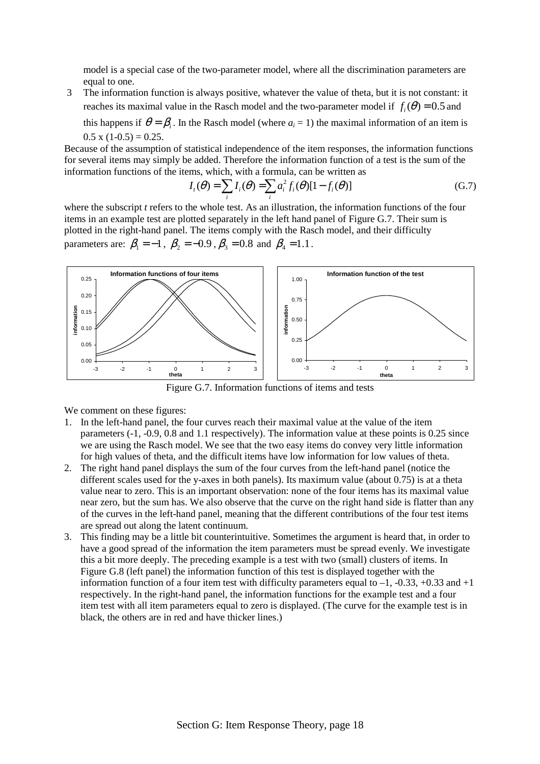model is a special case of the two-parameter model, where all the discrimination parameters are equal to one.

3 The information function is always positive, whatever the value of theta, but it is not constant: it reaches its maximal value in the Rasch model and the two-parameter model if  $f<sub>i</sub>(\theta) = 0.5$  and

this happens if  $\theta = \beta$ . In the Rasch model (where  $a_i = 1$ ) the maximal information of an item is  $0.5 \times (1 - 0.5) = 0.25$ .

Because of the assumption of statistical independence of the item responses, the information functions for several items may simply be added. Therefore the information function of a test is the sum of the information functions of the items, which, with a formula, can be written as

$$
I_i(\theta) = \sum_i I_i(\theta) = \sum_i a_i^2 f_i(\theta) [1 - f_i(\theta)] \tag{G.7}
$$

where the subscript *t* refers to the whole test. As an illustration, the information functions of the four items in an example test are plotted separately in the left hand panel of Figure G.7. Their sum is plotted in the right-hand panel. The items comply with the Rasch model, and their difficulty parameters are:  $\beta_1 = -1$ ,  $\beta_2 = -0.9$ ,  $\beta_3 = 0.8$  and  $\beta_4 = 1.1$ .



Figure G.7. Information functions of items and tests

We comment on these figures:

- 1. In the left-hand panel, the four curves reach their maximal value at the value of the item parameters (-1, -0.9, 0.8 and 1.1 respectively). The information value at these points is 0.25 since we are using the Rasch model. We see that the two easy items do convey very little information for high values of theta, and the difficult items have low information for low values of theta.
- 2. The right hand panel displays the sum of the four curves from the left-hand panel (notice the different scales used for the y-axes in both panels). Its maximum value (about 0.75) is at a theta value near to zero. This is an important observation: none of the four items has its maximal value near zero, but the sum has. We also observe that the curve on the right hand side is flatter than any of the curves in the left-hand panel, meaning that the different contributions of the four test items are spread out along the latent continuum.
- 3. This finding may be a little bit counterintuitive. Sometimes the argument is heard that, in order to have a good spread of the information the item parameters must be spread evenly. We investigate this a bit more deeply. The preceding example is a test with two (small) clusters of items. In Figure G.8 (left panel) the information function of this test is displayed together with the information function of a four item test with difficulty parameters equal to  $-1$ ,  $-0.33$ ,  $+0.33$  and  $+1$ respectively. In the right-hand panel, the information functions for the example test and a four item test with all item parameters equal to zero is displayed. (The curve for the example test is in black, the others are in red and have thicker lines.)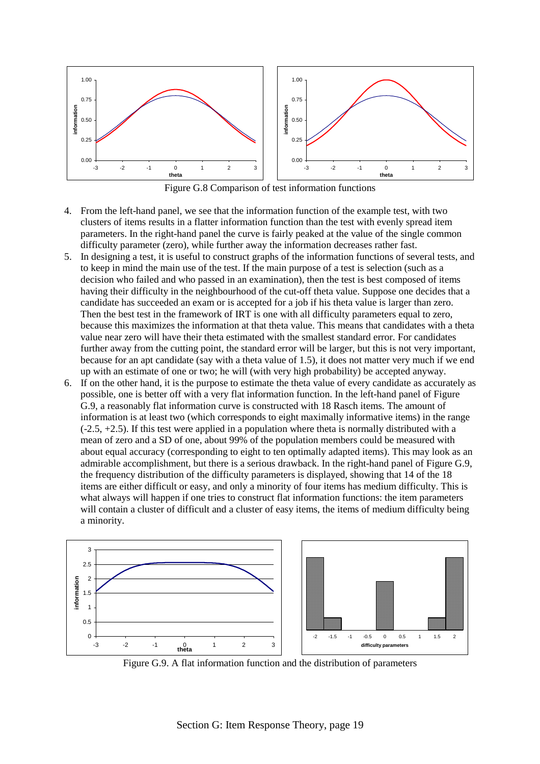

Figure G.8 Comparison of test information functions

- 4. From the left-hand panel, we see that the information function of the example test, with two clusters of items results in a flatter information function than the test with evenly spread item parameters. In the right-hand panel the curve is fairly peaked at the value of the single common difficulty parameter (zero), while further away the information decreases rather fast.
- 5. In designing a test, it is useful to construct graphs of the information functions of several tests, and to keep in mind the main use of the test. If the main purpose of a test is selection (such as a decision who failed and who passed in an examination), then the test is best composed of items having their difficulty in the neighbourhood of the cut-off theta value. Suppose one decides that a candidate has succeeded an exam or is accepted for a job if his theta value is larger than zero. Then the best test in the framework of IRT is one with all difficulty parameters equal to zero, because this maximizes the information at that theta value. This means that candidates with a theta value near zero will have their theta estimated with the smallest standard error. For candidates further away from the cutting point, the standard error will be larger, but this is not very important, because for an apt candidate (say with a theta value of 1.5), it does not matter very much if we end up with an estimate of one or two; he will (with very high probability) be accepted anyway.
- 6. If on the other hand, it is the purpose to estimate the theta value of every candidate as accurately as possible, one is better off with a very flat information function. In the left-hand panel of Figure G.9, a reasonably flat information curve is constructed with 18 Rasch items. The amount of information is at least two (which corresponds to eight maximally informative items) in the range  $(-2.5, +2.5)$ . If this test were applied in a population where theta is normally distributed with a mean of zero and a SD of one, about 99% of the population members could be measured with about equal accuracy (corresponding to eight to ten optimally adapted items). This may look as an admirable accomplishment, but there is a serious drawback. In the right-hand panel of Figure G.9, the frequency distribution of the difficulty parameters is displayed, showing that 14 of the 18 items are either difficult or easy, and only a minority of four items has medium difficulty. This is what always will happen if one tries to construct flat information functions: the item parameters will contain a cluster of difficult and a cluster of easy items, the items of medium difficulty being a minority.



Figure G.9. A flat information function and the distribution of parameters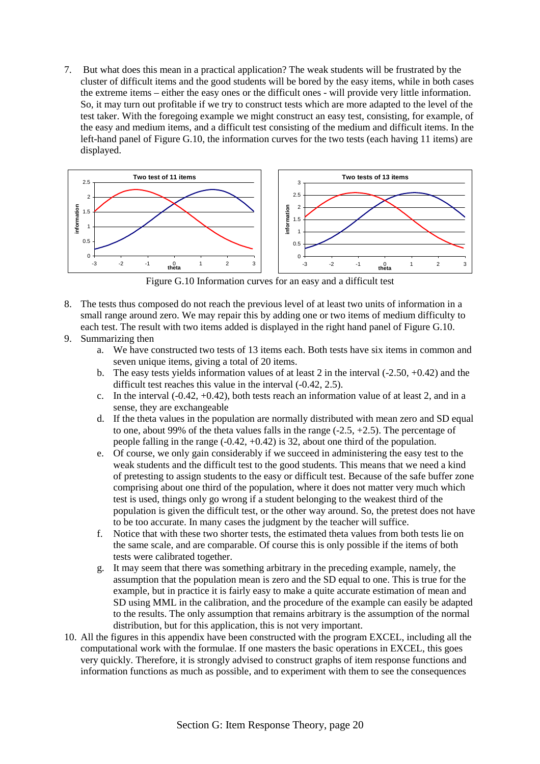7. But what does this mean in a practical application? The weak students will be frustrated by the cluster of difficult items and the good students will be bored by the easy items, while in both cases the extreme items – either the easy ones or the difficult ones - will provide very little information. So, it may turn out profitable if we try to construct tests which are more adapted to the level of the test taker. With the foregoing example we might construct an easy test, consisting, for example, of the easy and medium items, and a difficult test consisting of the medium and difficult items. In the left-hand panel of Figure G.10, the information curves for the two tests (each having 11 items) are displayed.



Figure G.10 Information curves for an easy and a difficult test

- 8. The tests thus composed do not reach the previous level of at least two units of information in a small range around zero. We may repair this by adding one or two items of medium difficulty to each test. The result with two items added is displayed in the right hand panel of Figure G.10.
- 9. Summarizing then
	- a. We have constructed two tests of 13 items each. Both tests have six items in common and seven unique items, giving a total of 20 items.
	- b. The easy tests yields information values of at least 2 in the interval (-2.50, +0.42) and the difficult test reaches this value in the interval (-0.42, 2.5).
	- c. In the interval  $(-0.42, +0.42)$ , both tests reach an information value of at least 2, and in a sense, they are exchangeable
	- d. If the theta values in the population are normally distributed with mean zero and SD equal to one, about 99% of the theta values falls in the range  $(-2.5, +2.5)$ . The percentage of people falling in the range (-0.42, +0.42) is 32, about one third of the population.
	- e. Of course, we only gain considerably if we succeed in administering the easy test to the weak students and the difficult test to the good students. This means that we need a kind of pretesting to assign students to the easy or difficult test. Because of the safe buffer zone comprising about one third of the population, where it does not matter very much which test is used, things only go wrong if a student belonging to the weakest third of the population is given the difficult test, or the other way around. So, the pretest does not have to be too accurate. In many cases the judgment by the teacher will suffice.
	- f. Notice that with these two shorter tests, the estimated theta values from both tests lie on the same scale, and are comparable. Of course this is only possible if the items of both tests were calibrated together.
	- g. It may seem that there was something arbitrary in the preceding example, namely, the assumption that the population mean is zero and the SD equal to one. This is true for the example, but in practice it is fairly easy to make a quite accurate estimation of mean and SD using MML in the calibration, and the procedure of the example can easily be adapted to the results. The only assumption that remains arbitrary is the assumption of the normal distribution, but for this application, this is not very important.
- 10. All the figures in this appendix have been constructed with the program EXCEL, including all the computational work with the formulae. If one masters the basic operations in EXCEL, this goes very quickly. Therefore, it is strongly advised to construct graphs of item response functions and information functions as much as possible, and to experiment with them to see the consequences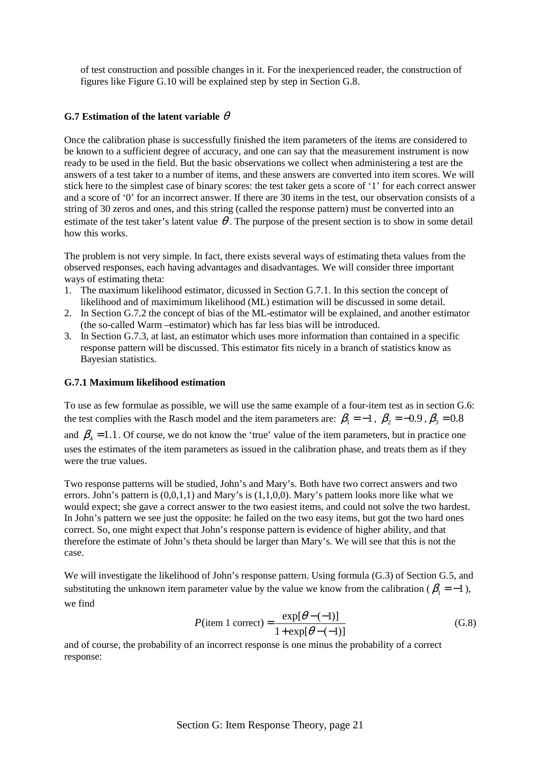of test construction and possible changes in it. For the inexperienced reader, the construction of figures like Figure G.10 will be explained step by step in Section G.8.

## **G.7 Estimation of the latent variable**  $\theta$

Once the calibration phase is successfully finished the item parameters of the items are considered to be known to a sufficient degree of accuracy, and one can say that the measurement instrument is now ready to be used in the field. But the basic observations we collect when administering a test are the answers of a test taker to a number of items, and these answers are converted into item scores. We will stick here to the simplest case of binary scores: the test taker gets a score of '1' for each correct answer and a score of '0' for an incorrect answer. If there are 30 items in the test, our observation consists of a string of 30 zeros and ones, and this string (called the response pattern) must be converted into an estimate of the test taker's latent value  $\theta$ . The purpose of the present section is to show in some detail how this works.

The problem is not very simple. In fact, there exists several ways of estimating theta values from the observed responses, each having advantages and disadvantages. We will consider three important ways of estimating theta:

- 1. The maximum likelihood estimator, dicussed in Section G.7.1. In this section the concept of likelihood and of maximimum likelihood (ML) estimation will be discussed in some detail.
- 2. In Section G.7.2 the concept of bias of the ML-estimator will be explained, and another estimator (the so-called Warm –estimator) which has far less bias will be introduced.
- 3. In Section G.7.3, at last, an estimator which uses more information than contained in a specific response pattern will be discussed. This estimator fits nicely in a branch of statistics know as Bayesian statistics.

## **G.7.1 Maximum likelihood estimation**

To use as few formulae as possible, we will use the same example of a four-item test as in section G.6: the test complies with the Rasch model and the item parameters are:  $\beta_1 = -1$ ,  $\beta_2 = -0.9$ ,  $\beta_3 = 0.8$ 

and  $\beta_4 = 1.1$ . Of course, we do not know the 'true' value of the item parameters, but in practice one uses the estimates of the item parameters as issued in the calibration phase, and treats them as if they were the true values.

Two response patterns will be studied, John's and Mary's. Both have two correct answers and two errors. John's pattern is  $(0,0,1,1)$  and Mary's is  $(1,1,0,0)$ . Mary's pattern looks more like what we would expect; she gave a correct answer to the two easiest items, and could not solve the two hardest. In John's pattern we see just the opposite: he failed on the two easy items, but got the two hard ones correct. So, one might expect that John's response pattern is evidence of higher ability, and that therefore the estimate of John's theta should be larger than Mary's. We will see that this is not the case.

We will investigate the likelihood of John's response pattern. Using formula (G.3) of Section G.5, and substituting the unknown item parameter value by the value we know from the calibration ( $\beta_1 = -1$ ), we find

$$
P(\text{item 1 correct}) = \frac{\exp[\theta - (-1)]}{1 + \exp[\theta - (-1)]}
$$
(G.8)

and of course, the probability of an incorrect response is one minus the probability of a correct response: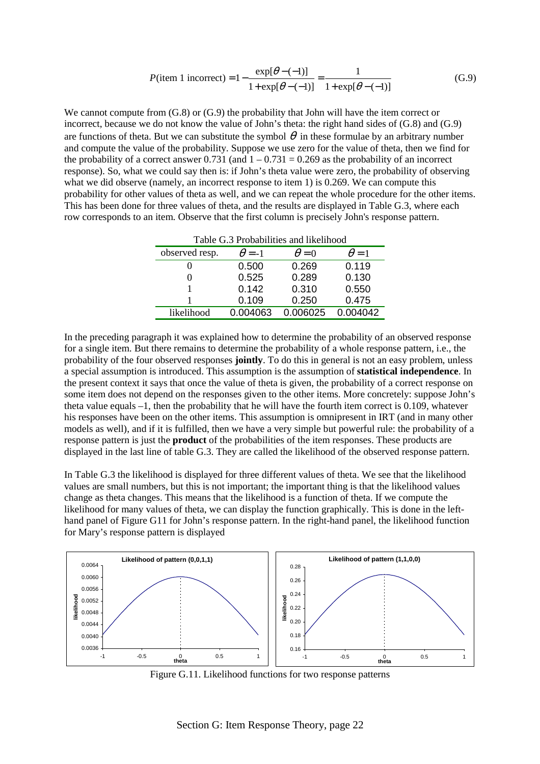$$
P(\text{item 1 incorrect}) = 1 - \frac{\exp[\theta - (-1)]}{1 + \exp[\theta - (-1)]} = \frac{1}{1 + \exp[\theta - (-1)]}
$$
(G.9)

We cannot compute from  $(G.8)$  or  $(G.9)$  the probability that John will have the item correct or incorrect, because we do not know the value of John's theta: the right hand sides of (G.8) and (G.9) are functions of theta. But we can substitute the symbol  $\theta$  in these formulae by an arbitrary number and compute the value of the probability. Suppose we use zero for the value of theta, then we find for the probability of a correct answer  $0.731$  (and  $1 - 0.731 = 0.269$  as the probability of an incorrect response). So, what we could say then is: if John's theta value were zero, the probability of observing what we did observe (namely, an incorrect response to item 1) is 0.269. We can compute this probability for other values of theta as well, and we can repeat the whole procedure for the other items. This has been done for three values of theta, and the results are displayed in Table G.3, where each row corresponds to an item. Observe that the first column is precisely John's response pattern.

| Table G.3 Probabilities and likelihood |               |              |              |  |  |  |  |
|----------------------------------------|---------------|--------------|--------------|--|--|--|--|
| observed resp.                         | $\theta = -1$ | $\theta = 0$ | $\theta = 1$ |  |  |  |  |
|                                        | 0.500         | 0.269        | 0.119        |  |  |  |  |
|                                        | 0.525         | 0.289        | 0.130        |  |  |  |  |
|                                        | 0.142         | 0.310        | 0.550        |  |  |  |  |
|                                        | 0.109         | 0.250        | 0.475        |  |  |  |  |
| likelihood                             | 0.004063      | 0.006025     | 0.004042     |  |  |  |  |

In the preceding paragraph it was explained how to determine the probability of an observed response for a single item. But there remains to determine the probability of a whole response pattern, i.e., the probability of the four observed responses **jointly**. To do this in general is not an easy problem, unless a special assumption is introduced. This assumption is the assumption of **statistical independence**. In the present context it says that once the value of theta is given, the probability of a correct response on some item does not depend on the responses given to the other items. More concretely: suppose John's theta value equals –1, then the probability that he will have the fourth item correct is 0.109, whatever his responses have been on the other items. This assumption is omnipresent in IRT (and in many other models as well), and if it is fulfilled, then we have a very simple but powerful rule: the probability of a response pattern is just the **product** of the probabilities of the item responses. These products are displayed in the last line of table G.3. They are called the likelihood of the observed response pattern.

In Table G.3 the likelihood is displayed for three different values of theta. We see that the likelihood values are small numbers, but this is not important; the important thing is that the likelihood values change as theta changes. This means that the likelihood is a function of theta. If we compute the likelihood for many values of theta, we can display the function graphically. This is done in the lefthand panel of Figure G11 for John's response pattern. In the right-hand panel, the likelihood function for Mary's response pattern is displayed



Figure G.11. Likelihood functions for two response patterns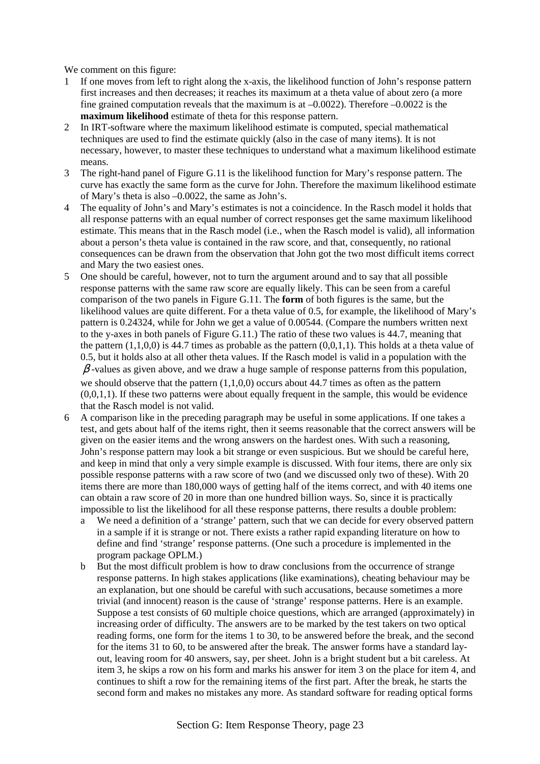We comment on this figure:

- 1 If one moves from left to right along the x-axis, the likelihood function of John's response pattern first increases and then decreases; it reaches its maximum at a theta value of about zero (a more fine grained computation reveals that the maximum is at  $-0.0022$ ). Therefore  $-0.0022$  is the **maximum likelihood** estimate of theta for this response pattern.
- 2 In IRT-software where the maximum likelihood estimate is computed, special mathematical techniques are used to find the estimate quickly (also in the case of many items). It is not necessary, however, to master these techniques to understand what a maximum likelihood estimate means.
- 3 The right-hand panel of Figure G.11 is the likelihood function for Mary's response pattern. The curve has exactly the same form as the curve for John. Therefore the maximum likelihood estimate of Mary's theta is also –0.0022, the same as John's.
- 4 The equality of John's and Mary's estimates is not a coincidence. In the Rasch model it holds that all response patterns with an equal number of correct responses get the same maximum likelihood estimate. This means that in the Rasch model (i.e., when the Rasch model is valid), all information about a person's theta value is contained in the raw score, and that, consequently, no rational consequences can be drawn from the observation that John got the two most difficult items correct and Mary the two easiest ones.
- 5 One should be careful, however, not to turn the argument around and to say that all possible response patterns with the same raw score are equally likely. This can be seen from a careful comparison of the two panels in Figure G.11. The **form** of both figures is the same, but the likelihood values are quite different. For a theta value of 0.5, for example, the likelihood of Mary's pattern is 0.24324, while for John we get a value of 0.00544. (Compare the numbers written next to the y-axes in both panels of Figure G.11.) The ratio of these two values is 44.7, meaning that the pattern  $(1,1,0,0)$  is 44.7 times as probable as the pattern  $(0,0,1,1)$ . This holds at a theta value of 0.5, but it holds also at all other theta values. If the Rasch model is valid in a population with the  $\beta$ -values as given above, and we draw a huge sample of response patterns from this population, we should observe that the pattern  $(1,1,0,0)$  occurs about 44.7 times as often as the pattern  $(0,0,1,1)$ . If these two patterns were about equally frequent in the sample, this would be evidence that the Rasch model is not valid.
- 6 A comparison like in the preceding paragraph may be useful in some applications. If one takes a test, and gets about half of the items right, then it seems reasonable that the correct answers will be given on the easier items and the wrong answers on the hardest ones. With such a reasoning, John's response pattern may look a bit strange or even suspicious. But we should be careful here, and keep in mind that only a very simple example is discussed. With four items, there are only six possible response patterns with a raw score of two (and we discussed only two of these). With 20 items there are more than 180,000 ways of getting half of the items correct, and with 40 items one can obtain a raw score of 20 in more than one hundred billion ways. So, since it is practically impossible to list the likelihood for all these response patterns, there results a double problem:
	- a We need a definition of a 'strange' pattern, such that we can decide for every observed pattern in a sample if it is strange or not. There exists a rather rapid expanding literature on how to define and find 'strange' response patterns. (One such a procedure is implemented in the program package OPLM.)
	- b But the most difficult problem is how to draw conclusions from the occurrence of strange response patterns. In high stakes applications (like examinations), cheating behaviour may be an explanation, but one should be careful with such accusations, because sometimes a more trivial (and innocent) reason is the cause of 'strange' response patterns. Here is an example. Suppose a test consists of 60 multiple choice questions, which are arranged (approximately) in increasing order of difficulty. The answers are to be marked by the test takers on two optical reading forms, one form for the items 1 to 30, to be answered before the break, and the second for the items 31 to 60, to be answered after the break. The answer forms have a standard layout, leaving room for 40 answers, say, per sheet. John is a bright student but a bit careless. At item 3, he skips a row on his form and marks his answer for item 3 on the place for item 4, and continues to shift a row for the remaining items of the first part. After the break, he starts the second form and makes no mistakes any more. As standard software for reading optical forms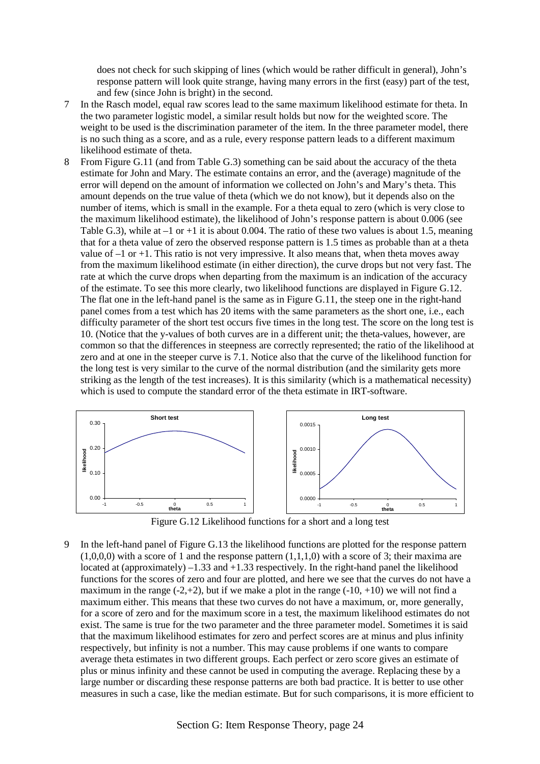does not check for such skipping of lines (which would be rather difficult in general), John's response pattern will look quite strange, having many errors in the first (easy) part of the test, and few (since John is bright) in the second.

- 7 In the Rasch model, equal raw scores lead to the same maximum likelihood estimate for theta. In the two parameter logistic model, a similar result holds but now for the weighted score. The weight to be used is the discrimination parameter of the item. In the three parameter model, there is no such thing as a score, and as a rule, every response pattern leads to a different maximum likelihood estimate of theta.
- 8 From Figure G.11 (and from Table G.3) something can be said about the accuracy of the theta estimate for John and Mary. The estimate contains an error, and the (average) magnitude of the error will depend on the amount of information we collected on John's and Mary's theta. This amount depends on the true value of theta (which we do not know), but it depends also on the number of items, which is small in the example. For a theta equal to zero (which is very close to the maximum likelihood estimate), the likelihood of John's response pattern is about 0.006 (see Table G.3), while at  $-1$  or  $+1$  it is about 0.004. The ratio of these two values is about 1.5, meaning that for a theta value of zero the observed response pattern is 1.5 times as probable than at a theta value of  $-1$  or  $+1$ . This ratio is not very impressive. It also means that, when theta moves away from the maximum likelihood estimate (in either direction), the curve drops but not very fast. The rate at which the curve drops when departing from the maximum is an indication of the accuracy of the estimate. To see this more clearly, two likelihood functions are displayed in Figure G.12. The flat one in the left-hand panel is the same as in Figure G.11, the steep one in the right-hand panel comes from a test which has 20 items with the same parameters as the short one, i.e., each difficulty parameter of the short test occurs five times in the long test. The score on the long test is 10. (Notice that the y-values of both curves are in a different unit; the theta-values, however, are common so that the differences in steepness are correctly represented; the ratio of the likelihood at zero and at one in the steeper curve is 7.1. Notice also that the curve of the likelihood function for the long test is very similar to the curve of the normal distribution (and the similarity gets more striking as the length of the test increases). It is this similarity (which is a mathematical necessity) which is used to compute the standard error of the theta estimate in IRT-software.



Figure G.12 Likelihood functions for a short and a long test

In the left-hand panel of Figure G.13 the likelihood functions are plotted for the response pattern  $(1,0,0,0)$  with a score of 1 and the response pattern  $(1,1,1,0)$  with a score of 3; their maxima are located at (approximately)  $-1.33$  and  $+1.33$  respectively. In the right-hand panel the likelihood functions for the scores of zero and four are plotted, and here we see that the curves do not have a maximum in the range  $(-2,+2)$ , but if we make a plot in the range  $(-10, +10)$  we will not find a maximum either. This means that these two curves do not have a maximum, or, more generally, for a score of zero and for the maximum score in a test, the maximum likelihood estimates do not exist. The same is true for the two parameter and the three parameter model. Sometimes it is said that the maximum likelihood estimates for zero and perfect scores are at minus and plus infinity respectively, but infinity is not a number. This may cause problems if one wants to compare average theta estimates in two different groups. Each perfect or zero score gives an estimate of plus or minus infinity and these cannot be used in computing the average. Replacing these by a large number or discarding these response patterns are both bad practice. It is better to use other measures in such a case, like the median estimate. But for such comparisons, it is more efficient to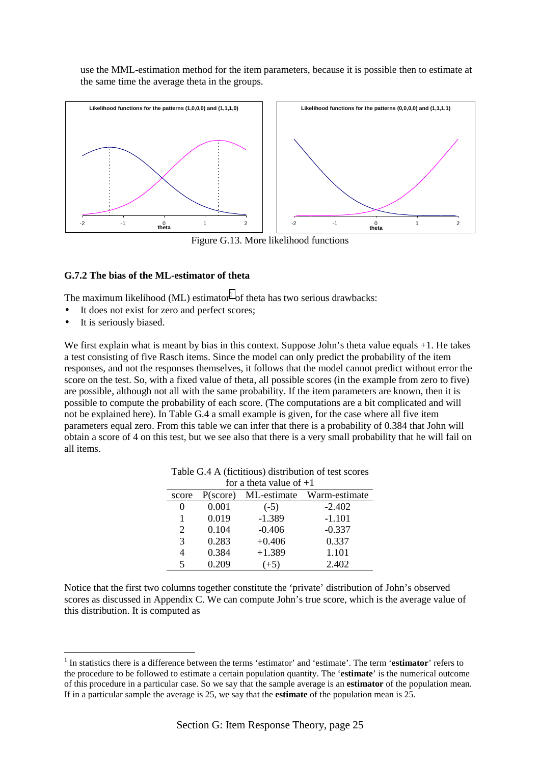use the MML-estimation method for the item parameters, because it is possible then to estimate at the same time the average theta in the groups.



Figure G.13. More likelihood functions

## **G.7.2 The bias of the ML-estimator of theta**

The maximum likelihood (ML) estimator<sup>1</sup> of theta has two serious drawbacks:

- It does not exist for zero and perfect scores;
- It is seriously biased.

 $\overline{a}$ 

We first explain what is meant by bias in this context. Suppose John's theta value equals  $+1$ . He takes a test consisting of five Rasch items. Since the model can only predict the probability of the item responses, and not the responses themselves, it follows that the model cannot predict without error the score on the test. So, with a fixed value of theta, all possible scores (in the example from zero to five) are possible, although not all with the same probability. If the item parameters are known, then it is possible to compute the probability of each score. (The computations are a bit complicated and will not be explained here). In Table G.4 a small example is given, for the case where all five item parameters equal zero. From this table we can infer that there is a probability of 0.384 that John will obtain a score of 4 on this test, but we see also that there is a very small probability that he will fail on all items.

| for a theta value of $+1$ |                                             |          |          |  |  |  |  |  |
|---------------------------|---------------------------------------------|----------|----------|--|--|--|--|--|
| score                     | ML-estimate<br>Warm-estimate<br>$P$ (score) |          |          |  |  |  |  |  |
|                           | 0.001                                       | $(-5)$   | $-2.402$ |  |  |  |  |  |
|                           | 0.019                                       | $-1.389$ | $-1.101$ |  |  |  |  |  |
| 2                         | 0.104                                       | $-0.406$ | $-0.337$ |  |  |  |  |  |
| 3                         | 0.283                                       | $+0.406$ | 0.337    |  |  |  |  |  |
| 4                         | 0.384                                       | $+1.389$ | 1.101    |  |  |  |  |  |
| 5                         | 0.209                                       | $(+5)$   | 2.402    |  |  |  |  |  |

| Table G.4 A (fictitious) distribution of test scores |  |  |
|------------------------------------------------------|--|--|
|------------------------------------------------------|--|--|

Notice that the first two columns together constitute the 'private' distribution of John's observed scores as discussed in Appendix C. We can compute John's true score, which is the average value of this distribution. It is computed as

<sup>&</sup>lt;sup>1</sup> In statistics there is a difference between the terms 'estimator' and 'estimate'. The term 'estimator' refers to the procedure to be followed to estimate a certain population quantity. The '**estimate**' is the numerical outcome of this procedure in a particular case. So we say that the sample average is an **estimator** of the population mean. If in a particular sample the average is 25, we say that the **estimate** of the population mean is 25.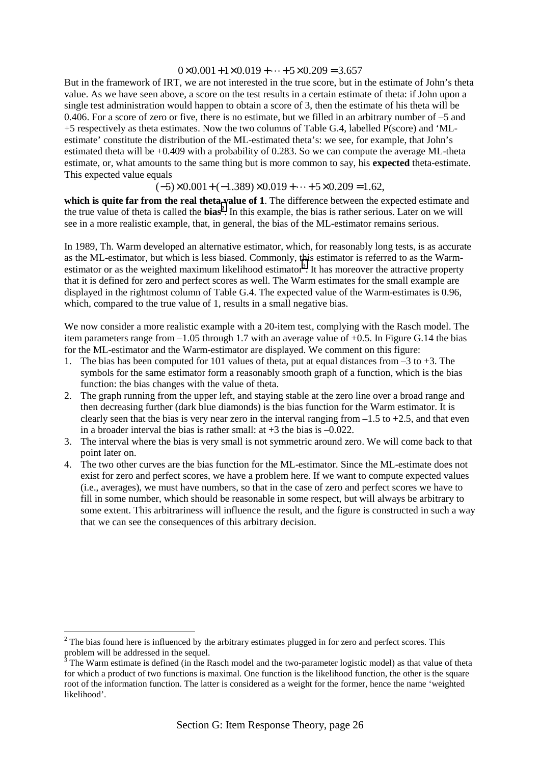#### $0 \times 0.001 + 1 \times 0.019 + \cdots + 5 \times 0.209 = 3.657$

But in the framework of IRT, we are not interested in the true score, but in the estimate of John's theta value. As we have seen above, a score on the test results in a certain estimate of theta: if John upon a single test administration would happen to obtain a score of 3, then the estimate of his theta will be 0.406. For a score of zero or five, there is no estimate, but we filled in an arbitrary number of –5 and +5 respectively as theta estimates. Now the two columns of Table G.4, labelled P(score) and 'MLestimate' constitute the distribution of the ML-estimated theta's: we see, for example, that John's estimated theta will be +0.409 with a probability of 0.283. So we can compute the average ML-theta estimate, or, what amounts to the same thing but is more common to say, his **expected** theta-estimate. This expected value equals

 $(-5) \times 0.001 + (-1.389) \times 0.019 + \cdots + 5 \times 0.209 = 1.62$ 

**which is quite far from the real theta value of 1**. The difference between the expected estimate and the true value of theta is called the **bias<sup>2</sup>**. In this example, the bias is rather serious. Later on we will see in a more realistic example, that, in general, the bias of the ML-estimator remains serious.

In 1989, Th. Warm developed an alternative estimator, which, for reasonably long tests, is as accurate as the ML-estimator, but which is less biased. Commonly, this estimator is referred to as the Warmestimator or as the weighted maximum likelihood estimator<sup>3</sup>. It has moreover the attractive property that it is defined for zero and perfect scores as well. The Warm estimates for the small example are displayed in the rightmost column of Table G.4. The expected value of the Warm-estimates is 0.96, which, compared to the true value of 1, results in a small negative bias.

We now consider a more realistic example with a 20-item test, complying with the Rasch model. The item parameters range from –1.05 through 1.7 with an average value of +0.5. In Figure G.14 the bias for the ML-estimator and the Warm-estimator are displayed. We comment on this figure:

- 1. The bias has been computed for 101 values of theta, put at equal distances from  $-3$  to  $+3$ . The symbols for the same estimator form a reasonably smooth graph of a function, which is the bias function: the bias changes with the value of theta.
- 2. The graph running from the upper left, and staying stable at the zero line over a broad range and then decreasing further (dark blue diamonds) is the bias function for the Warm estimator. It is clearly seen that the bias is very near zero in the interval ranging from  $-1.5$  to  $+2.5$ , and that even in a broader interval the bias is rather small: at  $+3$  the bias is  $-0.022$ .
- 3. The interval where the bias is very small is not symmetric around zero. We will come back to that point later on.
- 4. The two other curves are the bias function for the ML-estimator. Since the ML-estimate does not exist for zero and perfect scores, we have a problem here. If we want to compute expected values (i.e., averages), we must have numbers, so that in the case of zero and perfect scores we have to fill in some number, which should be reasonable in some respect, but will always be arbitrary to some extent. This arbitrariness will influence the result, and the figure is constructed in such a way that we can see the consequences of this arbitrary decision.

 $\overline{a}$ 

 $2<sup>2</sup>$  The bias found here is influenced by the arbitrary estimates plugged in for zero and perfect scores. This problem will be addressed in the sequel.<br> $\frac{3}{3}$  The Werm estimate is defined (in the B

The Warm estimate is defined (in the Rasch model and the two-parameter logistic model) as that value of theta for which a product of two functions is maximal. One function is the likelihood function, the other is the square root of the information function. The latter is considered as a weight for the former, hence the name 'weighted likelihood'.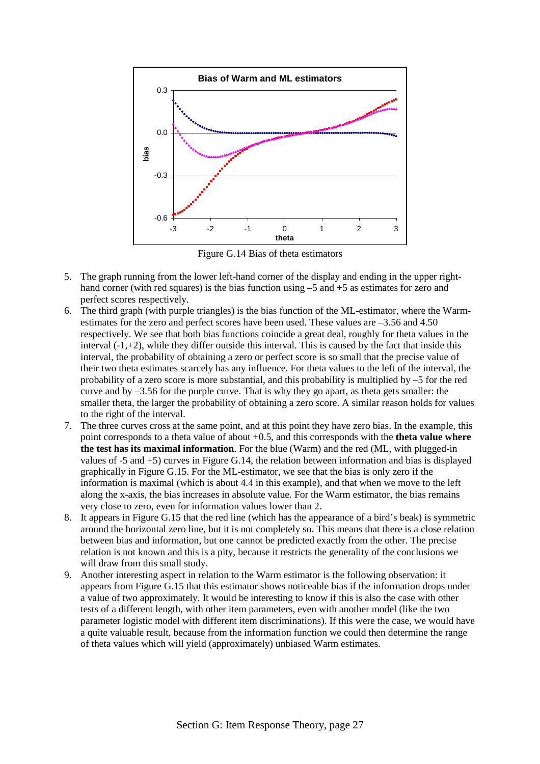

Figure G.14 Bias of theta estimators

- 5. The graph running from the lower left-hand corner of the display and ending in the upper righthand corner (with red squares) is the bias function using  $-5$  and  $+5$  as estimates for zero and perfect scores respectively.
- 6. The third graph (with purple triangles) is the bias function of the ML-estimator, where the Warmestimates for the zero and perfect scores have been used. These values are –3.56 and 4.50 respectively. We see that both bias functions coincide a great deal, roughly for theta values in the interval  $(-1, +2)$ , while they differ outside this interval. This is caused by the fact that inside this interval, the probability of obtaining a zero or perfect score is so small that the precise value of their two theta estimates scarcely has any influence. For theta values to the left of the interval, the probability of a zero score is more substantial, and this probability is multiplied by –5 for the red curve and by –3.56 for the purple curve. That is why they go apart, as theta gets smaller: the smaller theta, the larger the probability of obtaining a zero score. A similar reason holds for values to the right of the interval.
- 7. The three curves cross at the same point, and at this point they have zero bias. In the example, this point corresponds to a theta value of about +0.5, and this corresponds with the **theta value where the test has its maximal information**. For the blue (Warm) and the red (ML, with plugged-in values of -5 and +5) curves in Figure G.14, the relation between information and bias is displayed graphically in Figure G.15. For the ML-estimator, we see that the bias is only zero if the information is maximal (which is about 4.4 in this example), and that when we move to the left along the x-axis, the bias increases in absolute value. For the Warm estimator, the bias remains very close to zero, even for information values lower than 2.
- 8. It appears in Figure G.15 that the red line (which has the appearance of a bird's beak) is symmetric around the horizontal zero line, but it is not completely so. This means that there is a close relation between bias and information, but one cannot be predicted exactly from the other. The precise relation is not known and this is a pity, because it restricts the generality of the conclusions we will draw from this small study.
- 9. Another interesting aspect in relation to the Warm estimator is the following observation: it appears from Figure G.15 that this estimator shows noticeable bias if the information drops under a value of two approximately. It would be interesting to know if this is also the case with other tests of a different length, with other item parameters, even with another model (like the two parameter logistic model with different item discriminations). If this were the case, we would have a quite valuable result, because from the information function we could then determine the range of theta values which will yield (approximately) unbiased Warm estimates.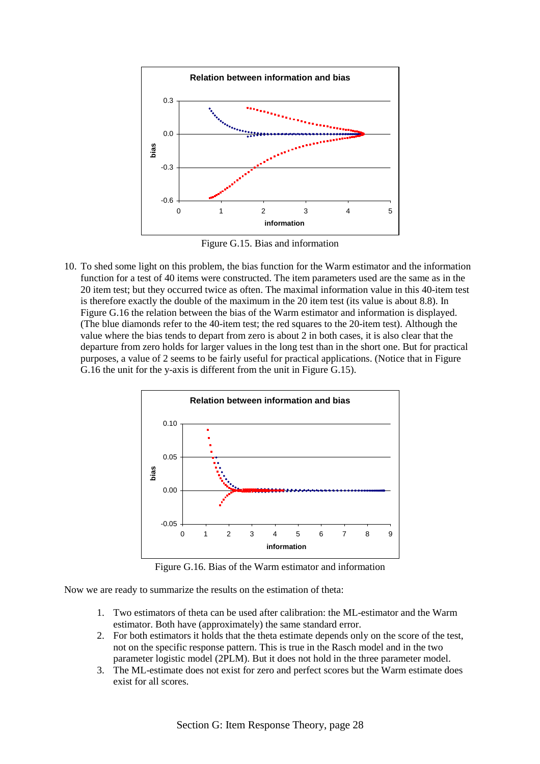

Figure G.15. Bias and information

10. To shed some light on this problem, the bias function for the Warm estimator and the information function for a test of 40 items were constructed. The item parameters used are the same as in the 20 item test; but they occurred twice as often. The maximal information value in this 40-item test is therefore exactly the double of the maximum in the 20 item test (its value is about 8.8). In Figure G.16 the relation between the bias of the Warm estimator and information is displayed. (The blue diamonds refer to the 40-item test; the red squares to the 20-item test). Although the value where the bias tends to depart from zero is about 2 in both cases, it is also clear that the departure from zero holds for larger values in the long test than in the short one. But for practical purposes, a value of 2 seems to be fairly useful for practical applications. (Notice that in Figure G.16 the unit for the y-axis is different from the unit in Figure G.15).



Figure G.16. Bias of the Warm estimator and information

Now we are ready to summarize the results on the estimation of theta:

- 1. Two estimators of theta can be used after calibration: the ML-estimator and the Warm estimator. Both have (approximately) the same standard error.
- 2. For both estimators it holds that the theta estimate depends only on the score of the test, not on the specific response pattern. This is true in the Rasch model and in the two parameter logistic model (2PLM). But it does not hold in the three parameter model.
- 3. The ML-estimate does not exist for zero and perfect scores but the Warm estimate does exist for all scores.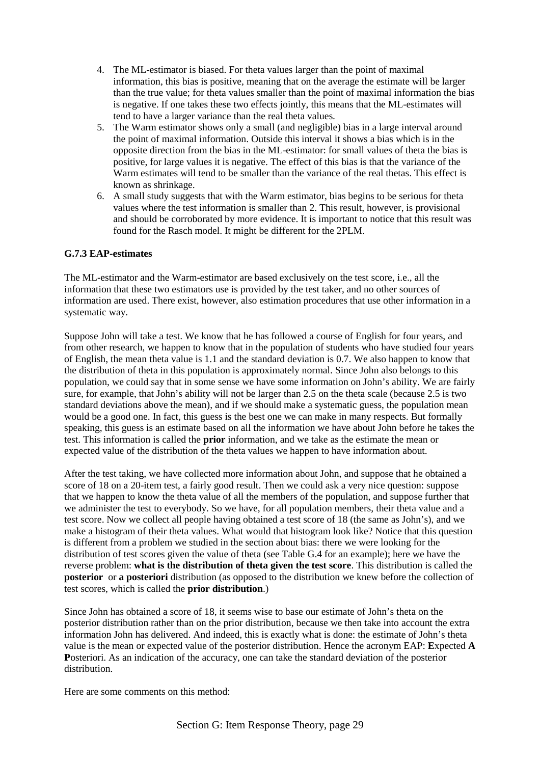- 4. The ML-estimator is biased. For theta values larger than the point of maximal information, this bias is positive, meaning that on the average the estimate will be larger than the true value; for theta values smaller than the point of maximal information the bias is negative. If one takes these two effects jointly, this means that the ML-estimates will tend to have a larger variance than the real theta values.
- 5. The Warm estimator shows only a small (and negligible) bias in a large interval around the point of maximal information. Outside this interval it shows a bias which is in the opposite direction from the bias in the ML-estimator: for small values of theta the bias is positive, for large values it is negative. The effect of this bias is that the variance of the Warm estimates will tend to be smaller than the variance of the real thetas. This effect is known as shrinkage.
- 6. A small study suggests that with the Warm estimator, bias begins to be serious for theta values where the test information is smaller than 2. This result, however, is provisional and should be corroborated by more evidence. It is important to notice that this result was found for the Rasch model. It might be different for the 2PLM.

## **G.7.3 EAP-estimates**

The ML-estimator and the Warm-estimator are based exclusively on the test score, i.e., all the information that these two estimators use is provided by the test taker, and no other sources of information are used. There exist, however, also estimation procedures that use other information in a systematic way.

Suppose John will take a test. We know that he has followed a course of English for four years, and from other research, we happen to know that in the population of students who have studied four years of English, the mean theta value is 1.1 and the standard deviation is 0.7. We also happen to know that the distribution of theta in this population is approximately normal. Since John also belongs to this population, we could say that in some sense we have some information on John's ability. We are fairly sure, for example, that John's ability will not be larger than 2.5 on the theta scale (because 2.5 is two standard deviations above the mean), and if we should make a systematic guess, the population mean would be a good one. In fact, this guess is the best one we can make in many respects. But formally speaking, this guess is an estimate based on all the information we have about John before he takes the test. This information is called the **prior** information, and we take as the estimate the mean or expected value of the distribution of the theta values we happen to have information about.

After the test taking, we have collected more information about John, and suppose that he obtained a score of 18 on a 20-item test, a fairly good result. Then we could ask a very nice question: suppose that we happen to know the theta value of all the members of the population, and suppose further that we administer the test to everybody. So we have, for all population members, their theta value and a test score. Now we collect all people having obtained a test score of 18 (the same as John's), and we make a histogram of their theta values. What would that histogram look like? Notice that this question is different from a problem we studied in the section about bias: there we were looking for the distribution of test scores given the value of theta (see Table G.4 for an example); here we have the reverse problem: **what is the distribution of theta given the test score**. This distribution is called the **posterior** or **a posteriori** distribution (as opposed to the distribution we knew before the collection of test scores, which is called the **prior distribution**.)

Since John has obtained a score of 18, it seems wise to base our estimate of John's theta on the posterior distribution rather than on the prior distribution, because we then take into account the extra information John has delivered. And indeed, this is exactly what is done: the estimate of John's theta value is the mean or expected value of the posterior distribution. Hence the acronym EAP: **E**xpected **A P**osteriori. As an indication of the accuracy, one can take the standard deviation of the posterior distribution.

Here are some comments on this method: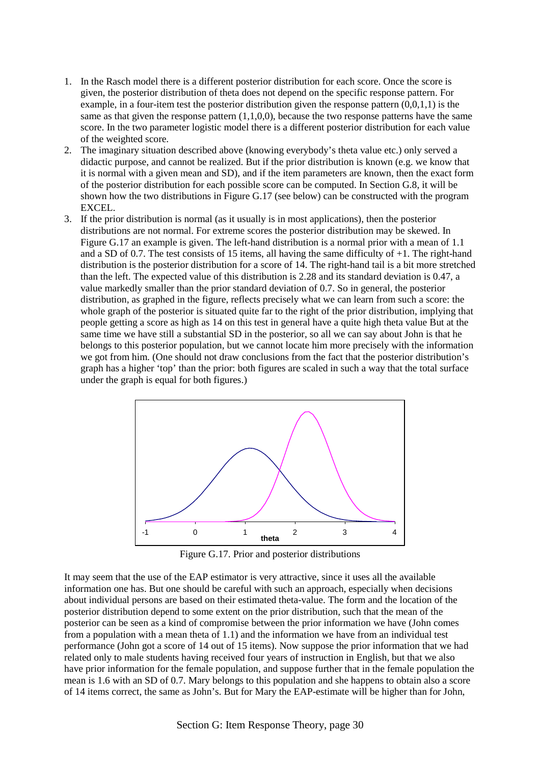- 1. In the Rasch model there is a different posterior distribution for each score. Once the score is given, the posterior distribution of theta does not depend on the specific response pattern. For example, in a four-item test the posterior distribution given the response pattern (0,0,1,1) is the same as that given the response pattern  $(1,1,0,0)$ , because the two response patterns have the same score. In the two parameter logistic model there is a different posterior distribution for each value of the weighted score.
- 2. The imaginary situation described above (knowing everybody's theta value etc.) only served a didactic purpose, and cannot be realized. But if the prior distribution is known (e.g. we know that it is normal with a given mean and SD), and if the item parameters are known, then the exact form of the posterior distribution for each possible score can be computed. In Section G.8, it will be shown how the two distributions in Figure G.17 (see below) can be constructed with the program EXCEL.
- 3. If the prior distribution is normal (as it usually is in most applications), then the posterior distributions are not normal. For extreme scores the posterior distribution may be skewed. In Figure G.17 an example is given. The left-hand distribution is a normal prior with a mean of 1.1 and a SD of 0.7. The test consists of 15 items, all having the same difficulty of +1. The right-hand distribution is the posterior distribution for a score of 14. The right-hand tail is a bit more stretched than the left. The expected value of this distribution is 2.28 and its standard deviation is 0.47, a value markedly smaller than the prior standard deviation of 0.7. So in general, the posterior distribution, as graphed in the figure, reflects precisely what we can learn from such a score: the whole graph of the posterior is situated quite far to the right of the prior distribution, implying that people getting a score as high as 14 on this test in general have a quite high theta value But at the same time we have still a substantial SD in the posterior, so all we can say about John is that he belongs to this posterior population, but we cannot locate him more precisely with the information we got from him. (One should not draw conclusions from the fact that the posterior distribution's graph has a higher 'top' than the prior: both figures are scaled in such a way that the total surface under the graph is equal for both figures.)



Figure G.17. Prior and posterior distributions

It may seem that the use of the EAP estimator is very attractive, since it uses all the available information one has. But one should be careful with such an approach, especially when decisions about individual persons are based on their estimated theta-value. The form and the location of the posterior distribution depend to some extent on the prior distribution, such that the mean of the posterior can be seen as a kind of compromise between the prior information we have (John comes from a population with a mean theta of 1.1) and the information we have from an individual test performance (John got a score of 14 out of 15 items). Now suppose the prior information that we had related only to male students having received four years of instruction in English, but that we also have prior information for the female population, and suppose further that in the female population the mean is 1.6 with an SD of 0.7. Mary belongs to this population and she happens to obtain also a score of 14 items correct, the same as John's. But for Mary the EAP-estimate will be higher than for John,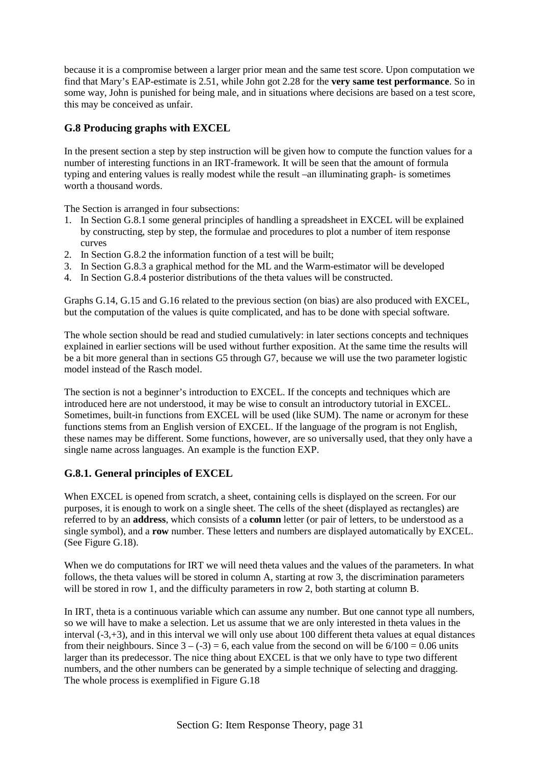because it is a compromise between a larger prior mean and the same test score. Upon computation we find that Mary's EAP-estimate is 2.51, while John got 2.28 for the **very same test performance**. So in some way, John is punished for being male, and in situations where decisions are based on a test score, this may be conceived as unfair.

## **G.8 Producing graphs with EXCEL**

In the present section a step by step instruction will be given how to compute the function values for a number of interesting functions in an IRT-framework. It will be seen that the amount of formula typing and entering values is really modest while the result –an illuminating graph- is sometimes worth a thousand words.

The Section is arranged in four subsections:

- 1. In Section G.8.1 some general principles of handling a spreadsheet in EXCEL will be explained by constructing, step by step, the formulae and procedures to plot a number of item response curves
- 2. In Section G.8.2 the information function of a test will be built;
- 3. In Section G.8.3 a graphical method for the ML and the Warm-estimator will be developed
- 4. In Section G.8.4 posterior distributions of the theta values will be constructed.

Graphs G.14, G.15 and G.16 related to the previous section (on bias) are also produced with EXCEL, but the computation of the values is quite complicated, and has to be done with special software.

The whole section should be read and studied cumulatively: in later sections concepts and techniques explained in earlier sections will be used without further exposition. At the same time the results will be a bit more general than in sections G5 through G7, because we will use the two parameter logistic model instead of the Rasch model.

The section is not a beginner's introduction to EXCEL. If the concepts and techniques which are introduced here are not understood, it may be wise to consult an introductory tutorial in EXCEL. Sometimes, built-in functions from EXCEL will be used (like SUM). The name or acronym for these functions stems from an English version of EXCEL. If the language of the program is not English, these names may be different. Some functions, however, are so universally used, that they only have a single name across languages. An example is the function EXP.

## **G.8.1. General principles of EXCEL**

When EXCEL is opened from scratch, a sheet, containing cells is displayed on the screen. For our purposes, it is enough to work on a single sheet. The cells of the sheet (displayed as rectangles) are referred to by an **address**, which consists of a **column** letter (or pair of letters, to be understood as a single symbol), and a **row** number. These letters and numbers are displayed automatically by EXCEL. (See Figure G.18).

When we do computations for IRT we will need theta values and the values of the parameters. In what follows, the theta values will be stored in column A, starting at row 3, the discrimination parameters will be stored in row 1, and the difficulty parameters in row 2, both starting at column B.

In IRT, theta is a continuous variable which can assume any number. But one cannot type all numbers, so we will have to make a selection. Let us assume that we are only interested in theta values in the interval (-3,+3), and in this interval we will only use about 100 different theta values at equal distances from their neighbours. Since  $3 - (-3) = 6$ , each value from the second on will be  $6/100 = 0.06$  units larger than its predecessor. The nice thing about EXCEL is that we only have to type two different numbers, and the other numbers can be generated by a simple technique of selecting and dragging. The whole process is exemplified in Figure G.18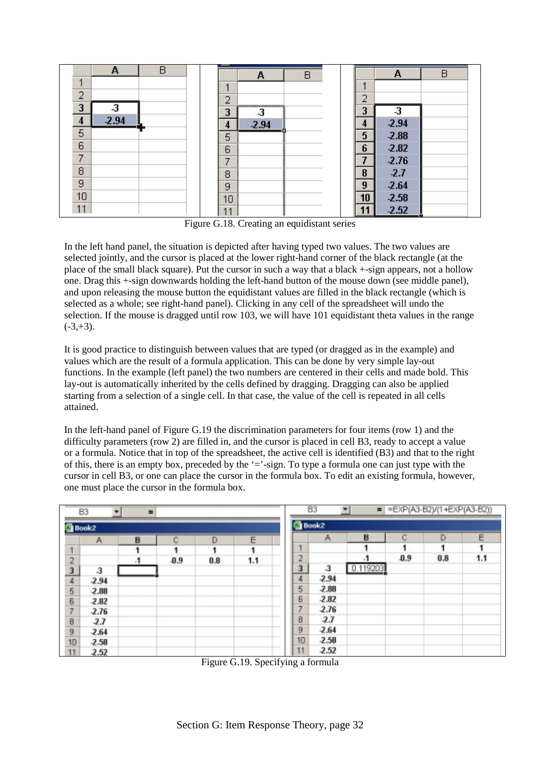

Figure G.18. Creating an equidistant series

In the left hand panel, the situation is depicted after having typed two values. The two values are selected jointly, and the cursor is placed at the lower right-hand corner of the black rectangle (at the place of the small black square). Put the cursor in such a way that a black +-sign appears, not a hollow one. Drag this +-sign downwards holding the left-hand button of the mouse down (see middle panel), and upon releasing the mouse button the equidistant values are filled in the black rectangle (which is selected as a whole; see right-hand panel). Clicking in any cell of the spreadsheet will undo the selection. If the mouse is dragged until row 103, we will have 101 equidistant theta values in the range  $(-3, +3)$ .

It is good practice to distinguish between values that are typed (or dragged as in the example) and values which are the result of a formula application. This can be done by very simple lay-out functions. In the example (left panel) the two numbers are centered in their cells and made bold. This lay-out is automatically inherited by the cells defined by dragging. Dragging can also be applied starting from a selection of a single cell. In that case, the value of the cell is repeated in all cells attained.

In the left-hand panel of Figure G.19 the discrimination parameters for four items (row 1) and the difficulty parameters (row 2) are filled in, and the cursor is placed in cell B3, ready to accept a value or a formula. Notice that in top of the spreadsheet, the active cell is identified (B3) and that to the right of this, there is an empty box, preceded by the  $\dot{=}$ -sign. To type a formula one can just type with the cursor in cell B3, or one can place the cursor in the formula box. To edit an existing formula, however, one must place the cursor in the formula box.

|                                               | B <sub>3</sub><br>=EXP(A3-B2)/(1+EXP(A3-B2))<br>$=$<br>٠<br>B <sub>3</sub><br>$\equiv$ |           |        |     |     |              |              |          |     |     |     |
|-----------------------------------------------|----------------------------------------------------------------------------------------|-----------|--------|-----|-----|--------------|--------------|----------|-----|-----|-----|
| <b>Book2</b>                                  |                                                                                        |           |        |     |     | <b>Book2</b> |              |          |     |     |     |
|                                               | Α                                                                                      | B         | Ĉ      | D   | Ε   |              | Α            | B        | ¢   | D   | Ε   |
| $\overline{4}$                                |                                                                                        |           |        |     |     |              |              |          |     |     |     |
|                                               |                                                                                        | $\cdot$ 1 | $-0.9$ | 0.8 | 1.1 | ר<br>÷       |              |          | 0.9 | 0.8 | 1.1 |
|                                               | $\overline{3}$                                                                         |           |        |     |     | 3            | $\mathbf{3}$ | 0.119203 |     |     |     |
| $\frac{2}{4}$                                 | $-2.94$                                                                                |           |        |     |     | 4            | $-2.94$      |          |     |     |     |
| $\frac{5}{6}$                                 | $-2.88$                                                                                |           |        |     |     | 5            | $-2.88$      |          |     |     |     |
|                                               | $-2.82$                                                                                |           |        |     |     | 6            | $-2.82$      |          |     |     |     |
| 7                                             | $-2.76$                                                                                |           |        |     |     | 7            | 2.76         |          |     |     |     |
|                                               | 2.7                                                                                    |           |        |     |     | 8            | 2.7          |          |     |     |     |
| $\begin{array}{c}\n8 \\ 9 \\ 10\n\end{array}$ | $-2.64$                                                                                |           |        |     |     | 9            | $-2.64$      |          |     |     |     |
|                                               | $-2.58$                                                                                |           |        |     |     | 10           | 2.58         |          |     |     |     |
| 11                                            | 2.52                                                                                   |           |        |     |     | 11           | 2.52         |          |     |     |     |

Figure G.19. Specifying a formula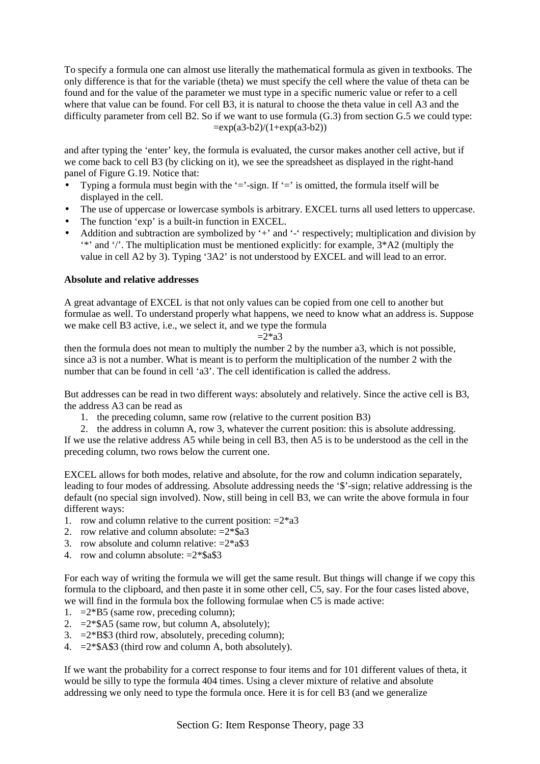To specify a formula one can almost use literally the mathematical formula as given in textbooks. The only difference is that for the variable (theta) we must specify the cell where the value of theta can be found and for the value of the parameter we must type in a specific numeric value or refer to a cell where that value can be found. For cell B3, it is natural to choose the theta value in cell A3 and the difficulty parameter from cell B2. So if we want to use formula (G.3) from section G.5 we could type:  $=exp(a3-b2)/(1+exp(a3-b2))$ 

and after typing the 'enter' key, the formula is evaluated, the cursor makes another cell active, but if we come back to cell B3 (by clicking on it), we see the spreadsheet as displayed in the right-hand panel of Figure G.19. Notice that:

- Typing a formula must begin with the '='-sign. If '=' is omitted, the formula itself will be displayed in the cell.
- The use of uppercase or lowercase symbols is arbitrary. EXCEL turns all used letters to uppercase.
- The function 'exp' is a built-in function in EXCEL.
- Addition and subtraction are symbolized by '+' and '-' respectively; multiplication and division by '\*' and '/'. The multiplication must be mentioned explicitly: for example, 3\*A2 (multiply the value in cell A2 by 3). Typing '3A2' is not understood by EXCEL and will lead to an error.

## **Absolute and relative addresses**

A great advantage of EXCEL is that not only values can be copied from one cell to another but formulae as well. To understand properly what happens, we need to know what an address is. Suppose we make cell B3 active, i.e., we select it, and we type the formula

$$
=2^*a3
$$

then the formula does not mean to multiply the number 2 by the number a3, which is not possible, since a3 is not a number. What is meant is to perform the multiplication of the number 2 with the number that can be found in cell 'a3'. The cell identification is called the address.

But addresses can be read in two different ways: absolutely and relatively. Since the active cell is B3, the address A3 can be read as

1. the preceding column, same row (relative to the current position B3)

2. the address in column A, row 3, whatever the current position: this is absolute addressing. If we use the relative address A5 while being in cell B3, then A5 is to be understood as the cell in the preceding column, two rows below the current one.

EXCEL allows for both modes, relative and absolute, for the row and column indication separately, leading to four modes of addressing. Absolute addressing needs the '\$'-sign; relative addressing is the default (no special sign involved). Now, still being in cell B3, we can write the above formula in four different ways:

- 1. row and column relative to the current position:  $=2*a3$
- 2. row relative and column absolute:  $=2*sa3$
- 3. row absolute and column relative:  $=2*a$ \$3
- 4. row and column absolute: =2\*\$a\$3

For each way of writing the formula we will get the same result. But things will change if we copy this formula to the clipboard, and then paste it in some other cell, C5, say. For the four cases listed above, we will find in the formula box the following formulae when C5 is made active:

- 1.  $=2*B5$  (same row, preceding column);
- 2.  $=2*\$A5$  (same row, but column A, absolutely);
- 3.  $=2*B\$ 3 (third row, absolutely, preceding column);
- 4.  $=2*\$A\$3$  (third row and column A, both absolutely).

If we want the probability for a correct response to four items and for 101 different values of theta, it would be silly to type the formula 404 times. Using a clever mixture of relative and absolute addressing we only need to type the formula once. Here it is for cell B3 (and we generalize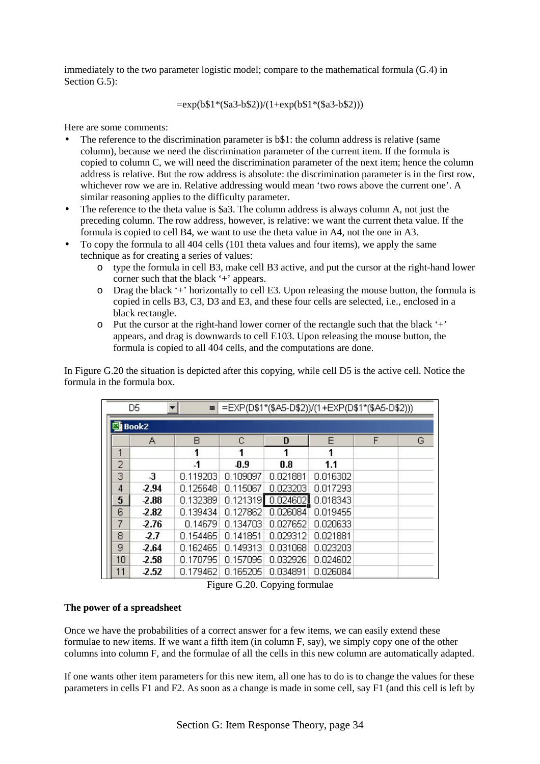immediately to the two parameter logistic model; compare to the mathematical formula (G.4) in Section G.5):

## $=exp(b$1*(\$a3-b$2))/(1+exp(b$1*(\$a3-b$2)))$

Here are some comments:

- The reference to the discrimination parameter is  $b\$ 1: the column address is relative (same column), because we need the discrimination parameter of the current item. If the formula is copied to column C, we will need the discrimination parameter of the next item; hence the column address is relative. But the row address is absolute: the discrimination parameter is in the first row, whichever row we are in. Relative addressing would mean 'two rows above the current one'. A similar reasoning applies to the difficulty parameter.
- The reference to the theta value is \$a3. The column address is always column A, not just the preceding column. The row address, however, is relative: we want the current theta value. If the formula is copied to cell B4, we want to use the theta value in A4, not the one in A3.
- To copy the formula to all 404 cells (101 theta values and four items), we apply the same technique as for creating a series of values:
	- o type the formula in cell B3, make cell B3 active, and put the cursor at the right-hand lower corner such that the black '+' appears.
	- o Drag the black '+' horizontally to cell E3. Upon releasing the mouse button, the formula is copied in cells B3, C3, D3 and E3, and these four cells are selected, i.e., enclosed in a black rectangle.
	- $\circ$  Put the cursor at the right-hand lower corner of the rectangle such that the black  $'$ +' appears, and drag is downwards to cell E103. Upon releasing the mouse button, the formula is copied to all 404 cells, and the computations are done.

In Figure G.20 the situation is depicted after this copying, while cell D5 is the active cell. Notice the formula in the formula box.

| =EXP(D\$1*(\$A5-D\$2))/(1+EXP(D\$1*(\$A5-D\$2)))<br>D5<br>Ξ |         |           |          |          |          |   |   |  |  |  |
|-------------------------------------------------------------|---------|-----------|----------|----------|----------|---|---|--|--|--|
| 图 Book2                                                     |         |           |          |          |          |   |   |  |  |  |
|                                                             | A       | B         | C        | D        | E        | F | G |  |  |  |
| 1                                                           |         | 1         | 1        | 1        | 1        |   |   |  |  |  |
| $\overline{2}$                                              |         | $\cdot$ 1 | 0.9      | 0.8      | 1.1      |   |   |  |  |  |
| 3                                                           | -3      | 0.119203  | 0.109097 | 0.021881 | 0.016302 |   |   |  |  |  |
| 4                                                           | $-2.94$ | 0.125648  | 0.115067 | 0.023203 | 0.017293 |   |   |  |  |  |
| 5                                                           | $-2.88$ | 0.132389  | 0.121319 | 0.024602 | 0.018343 |   |   |  |  |  |
| 6                                                           | $-2.82$ | 0.139434  | 0.127862 | 0.026084 | 0.019455 |   |   |  |  |  |
| 7                                                           | $-2.76$ | 0.14679   | 0.134703 | 0.027652 | 0.020633 |   |   |  |  |  |
| 8                                                           | $-2.7$  | 0.154465  | 0.141851 | 0.029312 | 0.021881 |   |   |  |  |  |
| 9                                                           | $-2.64$ | 0.162465  | 0.149313 | 0.031068 | 0.023203 |   |   |  |  |  |
| 10                                                          | $-2.58$ | 0.170795  | 0.157095 | 0.032926 | 0.024602 |   |   |  |  |  |
| 11                                                          | $-2.52$ | 0.179462  | 0.165205 | 0.034891 | 0.026084 |   |   |  |  |  |

Figure G.20. Copying formulae

## **The power of a spreadsheet**

Once we have the probabilities of a correct answer for a few items, we can easily extend these formulae to new items. If we want a fifth item (in column F, say), we simply copy one of the other columns into column F, and the formulae of all the cells in this new column are automatically adapted.

If one wants other item parameters for this new item, all one has to do is to change the values for these parameters in cells F1 and F2. As soon as a change is made in some cell, say F1 (and this cell is left by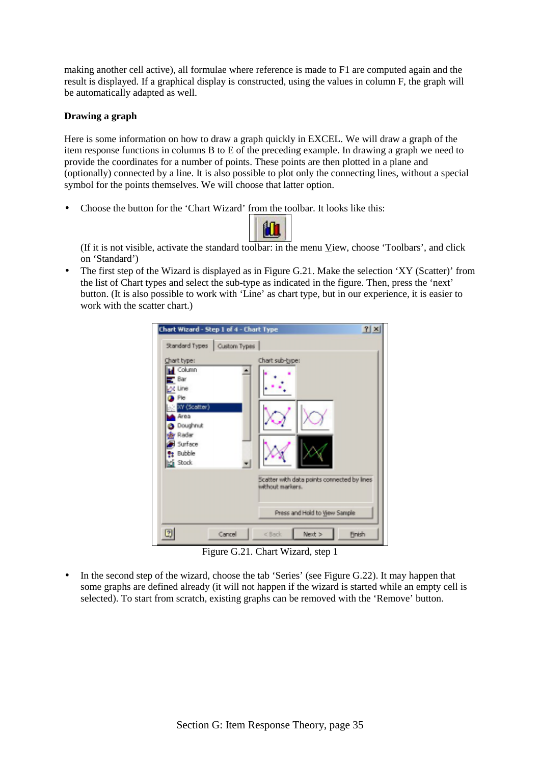making another cell active), all formulae where reference is made to F1 are computed again and the result is displayed. If a graphical display is constructed, using the values in column F, the graph will be automatically adapted as well.

## **Drawing a graph**

Here is some information on how to draw a graph quickly in EXCEL. We will draw a graph of the item response functions in columns B to E of the preceding example. In drawing a graph we need to provide the coordinates for a number of points. These points are then plotted in a plane and (optionally) connected by a line. It is also possible to plot only the connecting lines, without a special symbol for the points themselves. We will choose that latter option.

• Choose the button for the 'Chart Wizard' from the toolbar. It looks like this:



(If it is not visible, activate the standard toolbar: in the menu View, choose 'Toolbars', and click on 'Standard')

• The first step of the Wizard is displayed as in Figure G.21. Make the selection 'XY (Scatter)' from the list of Chart types and select the sub-type as indicated in the figure. Then, press the 'next' button. (It is also possible to work with 'Line' as chart type, but in our experience, it is easier to work with the scatter chart.)



Figure G.21. Chart Wizard, step 1

• In the second step of the wizard, choose the tab 'Series' (see Figure G.22). It may happen that some graphs are defined already (it will not happen if the wizard is started while an empty cell is selected). To start from scratch, existing graphs can be removed with the 'Remove' button.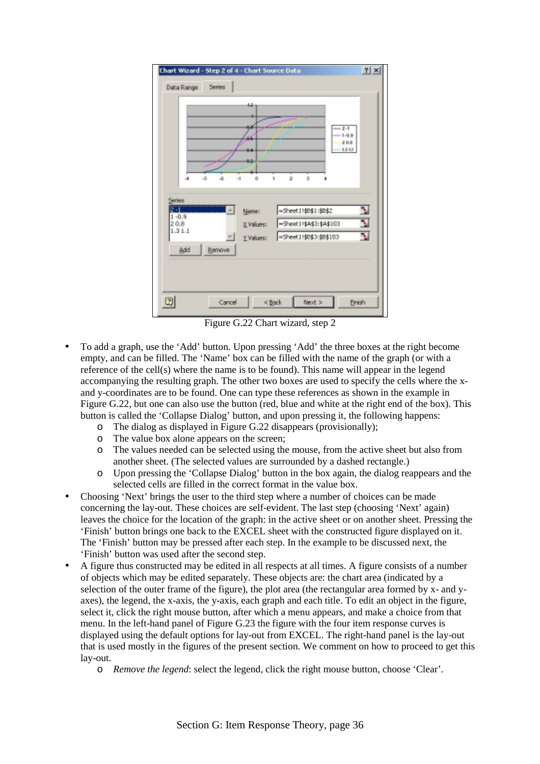

Figure G.22 Chart wizard, step 2

- To add a graph, use the 'Add' button. Upon pressing 'Add' the three boxes at the right become empty, and can be filled. The 'Name' box can be filled with the name of the graph (or with a reference of the cell(s) where the name is to be found). This name will appear in the legend accompanying the resulting graph. The other two boxes are used to specify the cells where the xand y-coordinates are to be found. One can type these references as shown in the example in Figure G.22, but one can also use the button (red, blue and white at the right end of the box). This button is called the 'Collapse Dialog' button, and upon pressing it, the following happens:
	- o The dialog as displayed in Figure G.22 disappears (provisionally);
	- o The value box alone appears on the screen;
	- o The values needed can be selected using the mouse, from the active sheet but also from another sheet. (The selected values are surrounded by a dashed rectangle.)
	- o Upon pressing the 'Collapse Dialog' button in the box again, the dialog reappears and the selected cells are filled in the correct format in the value box.
- Choosing 'Next' brings the user to the third step where a number of choices can be made concerning the lay-out. These choices are self-evident. The last step (choosing 'Next' again) leaves the choice for the location of the graph: in the active sheet or on another sheet. Pressing the 'Finish' button brings one back to the EXCEL sheet with the constructed figure displayed on it. The 'Finish' button may be pressed after each step. In the example to be discussed next, the 'Finish' button was used after the second step.
- A figure thus constructed may be edited in all respects at all times. A figure consists of a number of objects which may be edited separately. These objects are: the chart area (indicated by a selection of the outer frame of the figure), the plot area (the rectangular area formed by x- and yaxes), the legend, the x-axis, the y-axis, each graph and each title. To edit an object in the figure, select it, click the right mouse button, after which a menu appears, and make a choice from that menu. In the left-hand panel of Figure G.23 the figure with the four item response curves is displayed using the default options for lay-out from EXCEL. The right-hand panel is the lay-out that is used mostly in the figures of the present section. We comment on how to proceed to get this lay-out.
	- o *Remove the legend*: select the legend, click the right mouse button, choose 'Clear'.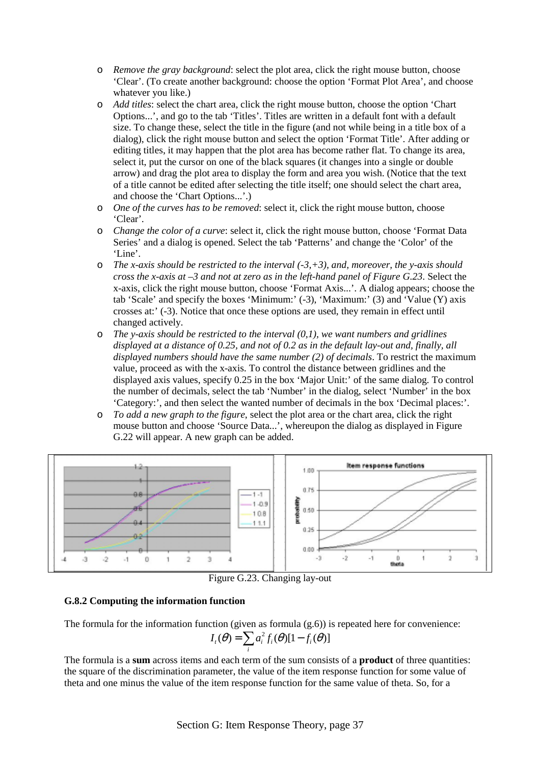- o *Remove the gray background*: select the plot area, click the right mouse button, choose 'Clear'. (To create another background: choose the option 'Format Plot Area', and choose whatever you like.)
- o *Add titles*: select the chart area, click the right mouse button, choose the option 'Chart Options...', and go to the tab 'Titles'. Titles are written in a default font with a default size. To change these, select the title in the figure (and not while being in a title box of a dialog), click the right mouse button and select the option 'Format Title'. After adding or editing titles, it may happen that the plot area has become rather flat. To change its area, select it, put the cursor on one of the black squares (it changes into a single or double arrow) and drag the plot area to display the form and area you wish. (Notice that the text of a title cannot be edited after selecting the title itself; one should select the chart area, and choose the 'Chart Options...'.)
- o *One of the curves has to be removed*: select it, click the right mouse button, choose 'Clear'.
- o *Change the color of a curve*: select it, click the right mouse button, choose 'Format Data Series' and a dialog is opened. Select the tab 'Patterns' and change the 'Color' of the 'Line'.
- o *The x-axis should be restricted to the interval (-3,+3), and, moreover, the y-axis should cross the x-axis at –3 and not at zero as in the left-hand panel of Figure G.23*. Select the x-axis, click the right mouse button, choose 'Format Axis...'. A dialog appears; choose the tab 'Scale' and specify the boxes 'Minimum:' (-3), 'Maximum:' (3) and 'Value (Y) axis crosses at:' (-3). Notice that once these options are used, they remain in effect until changed actively.
- o *The y-axis should be restricted to the interval (0,1), we want numbers and gridlines displayed at a distance of 0.25, and not of 0.2 as in the default lay-out and, finally, all displayed numbers should have the same number (2) of decimals*. To restrict the maximum value, proceed as with the x-axis. To control the distance between gridlines and the displayed axis values, specify 0.25 in the box 'Major Unit:' of the same dialog. To control the number of decimals, select the tab 'Number' in the dialog, select 'Number' in the box 'Category:', and then select the wanted number of decimals in the box 'Decimal places:'.
- o *To add a new graph to the figure*, select the plot area or the chart area, click the right mouse button and choose 'Source Data...', whereupon the dialog as displayed in Figure G.22 will appear. A new graph can be added.



Figure G.23. Changing lay-out

## **G.8.2 Computing the information function**

The formula for the information function (given as formula  $(g.6)$ ) is repeated here for convenience:

$$
I_{i}(\theta) = \sum_{i} a_{i}^{2} f_{i}(\theta)[1 - f_{i}(\theta)]
$$

The formula is a **sum** across items and each term of the sum consists of a **product** of three quantities: the square of the discrimination parameter, the value of the item response function for some value of theta and one minus the value of the item response function for the same value of theta. So, for a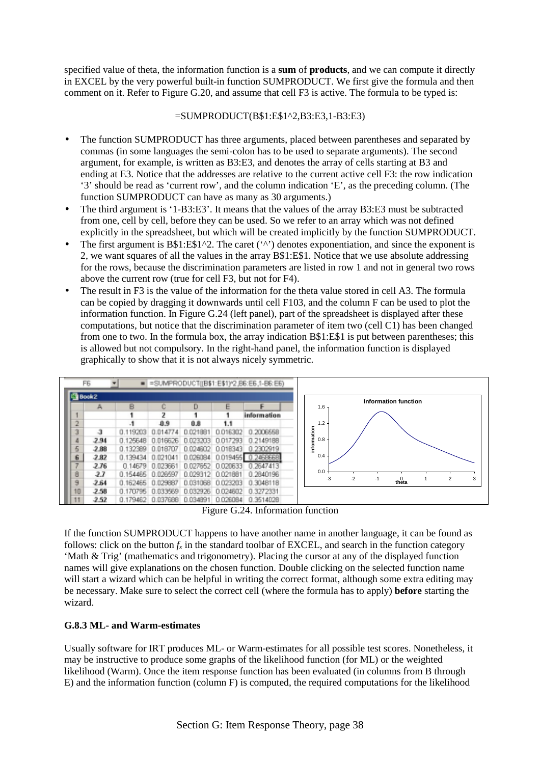specified value of theta, the information function is a **sum** of **products**, and we can compute it directly in EXCEL by the very powerful built-in function SUMPRODUCT. We first give the formula and then comment on it. Refer to Figure G.20, and assume that cell F3 is active. The formula to be typed is:

## =SUMPRODUCT(B\$1:E\$1^2,B3:E3,1-B3:E3)

- The function SUMPRODUCT has three arguments, placed between parentheses and separated by commas (in some languages the semi-colon has to be used to separate arguments). The second argument, for example, is written as B3:E3, and denotes the array of cells starting at B3 and ending at E3. Notice that the addresses are relative to the current active cell F3: the row indication '3' should be read as 'current row', and the column indication 'E', as the preceding column. (The function SUMPRODUCT can have as many as 30 arguments.)
- The third argument is '1-B3:E3'. It means that the values of the array B3:E3 must be subtracted from one, cell by cell, before they can be used. So we refer to an array which was not defined explicitly in the spreadsheet, but which will be created implicitly by the function SUMPRODUCT.
- The first argument is  $B$1:E$1^2$ . The caret (' $\prime$ ') denotes exponentiation, and since the exponent is 2, we want squares of all the values in the array B\$1:E\$1. Notice that we use absolute addressing for the rows, because the discrimination parameters are listed in row 1 and not in general two rows above the current row (true for cell F3, but not for F4).
- The result in F3 is the value of the information for the theta value stored in cell A3. The formula can be copied by dragging it downwards until cell F103, and the column F can be used to plot the information function. In Figure G.24 (left panel), part of the spreadsheet is displayed after these computations, but notice that the discrimination parameter of item two (cell C1) has been changed from one to two. In the formula box, the array indication B\$1:E\$1 is put between parentheses; this is allowed but not compulsory. In the right-hand panel, the information function is displayed graphically to show that it is not always nicely symmetric.



Figure G.24. Information function

If the function SUMPRODUCT happens to have another name in another language, it can be found as follows: click on the button  $f<sub>x</sub>$  in the standard toolbar of EXCEL, and search in the function category 'Math & Trig' (mathematics and trigonometry). Placing the cursor at any of the displayed function names will give explanations on the chosen function. Double clicking on the selected function name will start a wizard which can be helpful in writing the correct format, although some extra editing may be necessary. Make sure to select the correct cell (where the formula has to apply) **before** starting the wizard.

## **G.8.3 ML- and Warm-estimates**

Usually software for IRT produces ML- or Warm-estimates for all possible test scores. Nonetheless, it may be instructive to produce some graphs of the likelihood function (for ML) or the weighted likelihood (Warm). Once the item response function has been evaluated (in columns from B through E) and the information function (column F) is computed, the required computations for the likelihood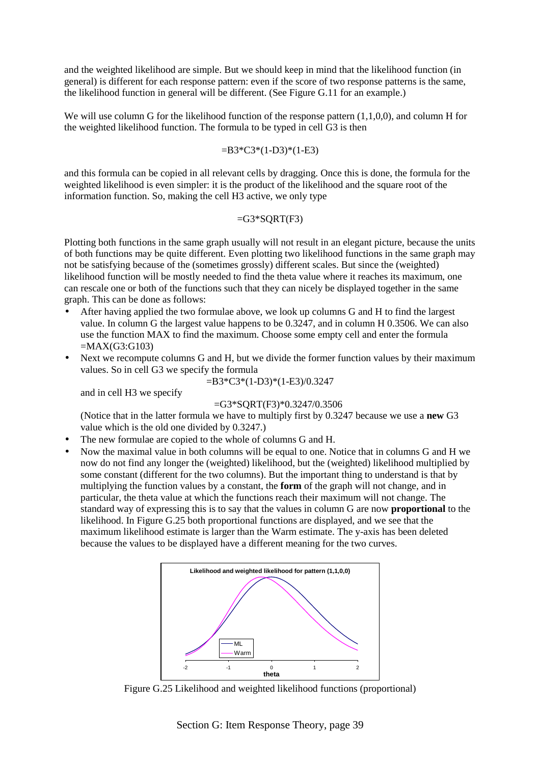and the weighted likelihood are simple. But we should keep in mind that the likelihood function (in general) is different for each response pattern: even if the score of two response patterns is the same, the likelihood function in general will be different. (See Figure G.11 for an example.)

We will use column G for the likelihood function of the response pattern (1,1,0,0), and column H for the weighted likelihood function. The formula to be typed in cell G3 is then

#### $=$ B3\*C3\*(1-D3)\*(1-E3)

and this formula can be copied in all relevant cells by dragging. Once this is done, the formula for the weighted likelihood is even simpler: it is the product of the likelihood and the square root of the information function. So, making the cell H3 active, we only type

#### $=$ G3\*SORT(F3)

Plotting both functions in the same graph usually will not result in an elegant picture, because the units of both functions may be quite different. Even plotting two likelihood functions in the same graph may not be satisfying because of the (sometimes grossly) different scales. But since the (weighted) likelihood function will be mostly needed to find the theta value where it reaches its maximum, one can rescale one or both of the functions such that they can nicely be displayed together in the same graph. This can be done as follows:

- After having applied the two formulae above, we look up columns G and H to find the largest value. In column G the largest value happens to be 0.3247, and in column H 0.3506. We can also use the function MAX to find the maximum. Choose some empty cell and enter the formula  $=MAX(G3:GI03)$
- Next we recompute columns G and H, but we divide the former function values by their maximum values. So in cell G3 we specify the formula

=B3\*C3\*(1-D3)\*(1-E3)/0.3247

and in cell H3 we specify

#### $=$ G3\*SORT(F3)\*0.3247/0.3506

(Notice that in the latter formula we have to multiply first by 0.3247 because we use a **new** G3 value which is the old one divided by 0.3247.)

- The new formulae are copied to the whole of columns G and H.
- Now the maximal value in both columns will be equal to one. Notice that in columns G and H we now do not find any longer the (weighted) likelihood, but the (weighted) likelihood multiplied by some constant (different for the two columns). But the important thing to understand is that by multiplying the function values by a constant, the **form** of the graph will not change, and in particular, the theta value at which the functions reach their maximum will not change. The standard way of expressing this is to say that the values in column G are now **proportional** to the likelihood. In Figure G.25 both proportional functions are displayed, and we see that the maximum likelihood estimate is larger than the Warm estimate. The y-axis has been deleted because the values to be displayed have a different meaning for the two curves.



Figure G.25 Likelihood and weighted likelihood functions (proportional)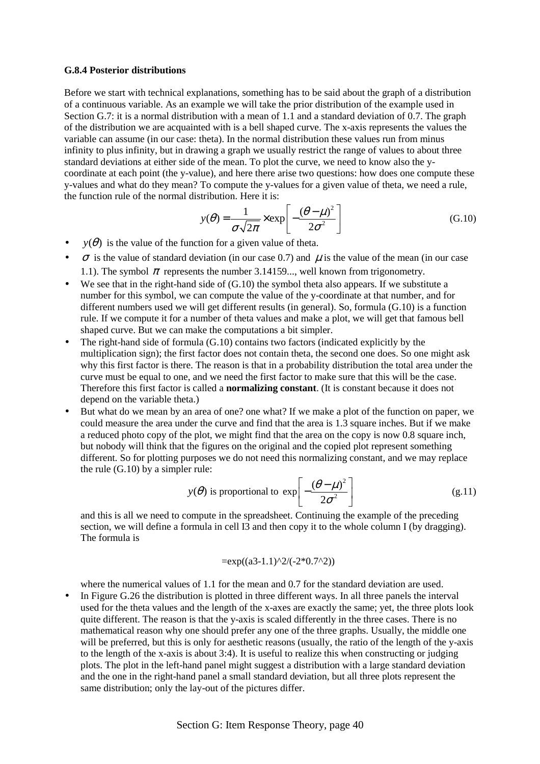#### **G.8.4 Posterior distributions**

Before we start with technical explanations, something has to be said about the graph of a distribution of a continuous variable. As an example we will take the prior distribution of the example used in Section G.7: it is a normal distribution with a mean of 1.1 and a standard deviation of  $\overline{0.7}$ . The graph of the distribution we are acquainted with is a bell shaped curve. The x-axis represents the values the variable can assume (in our case: theta). In the normal distribution these values run from minus infinity to plus infinity, but in drawing a graph we usually restrict the range of values to about three standard deviations at either side of the mean. To plot the curve, we need to know also the ycoordinate at each point (the y-value), and here there arise two questions: how does one compute these y-values and what do they mean? To compute the y-values for a given value of theta, we need a rule, the function rule of the normal distribution. Here it is:

$$
y(\theta) = \frac{1}{\sigma\sqrt{2\pi}} \times \exp\left[-\frac{(\theta - \mu)^2}{2\sigma^2}\right]
$$
 (G.10)

- $y(\theta)$  is the value of the function for a given value of theta.
- $\sigma$  is the value of standard deviation (in our case 0.7) and  $\mu$  is the value of the mean (in our case 1.1). The symbol  $\pi$  represents the number 3.14159..., well known from trigonometry.
- We see that in the right-hand side of  $(G.10)$  the symbol theta also appears. If we substitute a number for this symbol, we can compute the value of the y-coordinate at that number, and for different numbers used we will get different results (in general). So, formula (G.10) is a function rule. If we compute it for a number of theta values and make a plot, we will get that famous bell shaped curve. But we can make the computations a bit simpler.
- The right-hand side of formula (G.10) contains two factors (indicated explicitly by the multiplication sign); the first factor does not contain theta, the second one does. So one might ask why this first factor is there. The reason is that in a probability distribution the total area under the curve must be equal to one, and we need the first factor to make sure that this will be the case. Therefore this first factor is called a **normalizing constant**. (It is constant because it does not depend on the variable theta.)
- But what do we mean by an area of one? one what? If we make a plot of the function on paper, we could measure the area under the curve and find that the area is 1.3 square inches. But if we make a reduced photo copy of the plot, we might find that the area on the copy is now 0.8 square inch, but nobody will think that the figures on the original and the copied plot represent something different. So for plotting purposes we do not need this normalizing constant, and we may replace the rule (G.10) by a simpler rule:

$$
y(\theta)
$$
 is proportional to  $\exp\left[-\frac{(\theta - \mu)^2}{2\sigma^2}\right]$  (g.11)

and this is all we need to compute in the spreadsheet. Continuing the example of the preceding section, we will define a formula in cell I3 and then copy it to the whole column I (by dragging). The formula is

$$
=\exp((a3-1.1)^{2}/(-2*0.7^{2}))
$$

where the numerical values of 1.1 for the mean and 0.7 for the standard deviation are used.

• In Figure G.26 the distribution is plotted in three different ways. In all three panels the interval used for the theta values and the length of the x-axes are exactly the same; yet, the three plots look quite different. The reason is that the y-axis is scaled differently in the three cases. There is no mathematical reason why one should prefer any one of the three graphs. Usually, the middle one will be preferred, but this is only for aesthetic reasons (usually, the ratio of the length of the y-axis to the length of the x-axis is about 3:4). It is useful to realize this when constructing or judging plots. The plot in the left-hand panel might suggest a distribution with a large standard deviation and the one in the right-hand panel a small standard deviation, but all three plots represent the same distribution; only the lay-out of the pictures differ.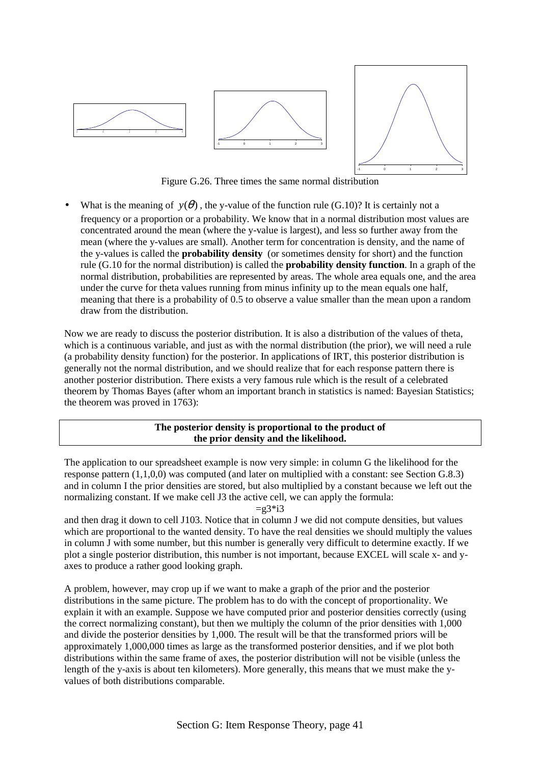

Figure G.26. Three times the same normal distribution

What is the meaning of  $y(\theta)$ , the y-value of the function rule (G.10)? It is certainly not a frequency or a proportion or a probability. We know that in a normal distribution most values are concentrated around the mean (where the y-value is largest), and less so further away from the mean (where the y-values are small). Another term for concentration is density, and the name of the y-values is called the **probability density** (or sometimes density for short) and the function rule (G.10 for the normal distribution) is called the **probability density function**. In a graph of the normal distribution, probabilities are represented by areas. The whole area equals one, and the area under the curve for theta values running from minus infinity up to the mean equals one half, meaning that there is a probability of 0.5 to observe a value smaller than the mean upon a random draw from the distribution.

Now we are ready to discuss the posterior distribution. It is also a distribution of the values of theta, which is a continuous variable, and just as with the normal distribution (the prior), we will need a rule (a probability density function) for the posterior. In applications of IRT, this posterior distribution is generally not the normal distribution, and we should realize that for each response pattern there is another posterior distribution. There exists a very famous rule which is the result of a celebrated theorem by Thomas Bayes (after whom an important branch in statistics is named: Bayesian Statistics; the theorem was proved in 1763):

## **The posterior density is proportional to the product of the prior density and the likelihood.**

The application to our spreadsheet example is now very simple: in column G the likelihood for the response pattern (1,1,0,0) was computed (and later on multiplied with a constant: see Section G.8.3) and in column I the prior densities are stored, but also multiplied by a constant because we left out the normalizing constant. If we make cell J3 the active cell, we can apply the formula:

 $=g3*i3$ 

and then drag it down to cell J103. Notice that in column J we did not compute densities, but values which are proportional to the wanted density. To have the real densities we should multiply the values in column J with some number, but this number is generally very difficult to determine exactly. If we plot a single posterior distribution, this number is not important, because EXCEL will scale x- and yaxes to produce a rather good looking graph.

A problem, however, may crop up if we want to make a graph of the prior and the posterior distributions in the same picture. The problem has to do with the concept of proportionality. We explain it with an example. Suppose we have computed prior and posterior densities correctly (using the correct normalizing constant), but then we multiply the column of the prior densities with 1,000 and divide the posterior densities by 1,000. The result will be that the transformed priors will be approximately 1,000,000 times as large as the transformed posterior densities, and if we plot both distributions within the same frame of axes, the posterior distribution will not be visible (unless the length of the y-axis is about ten kilometers). More generally, this means that we must make the yvalues of both distributions comparable.